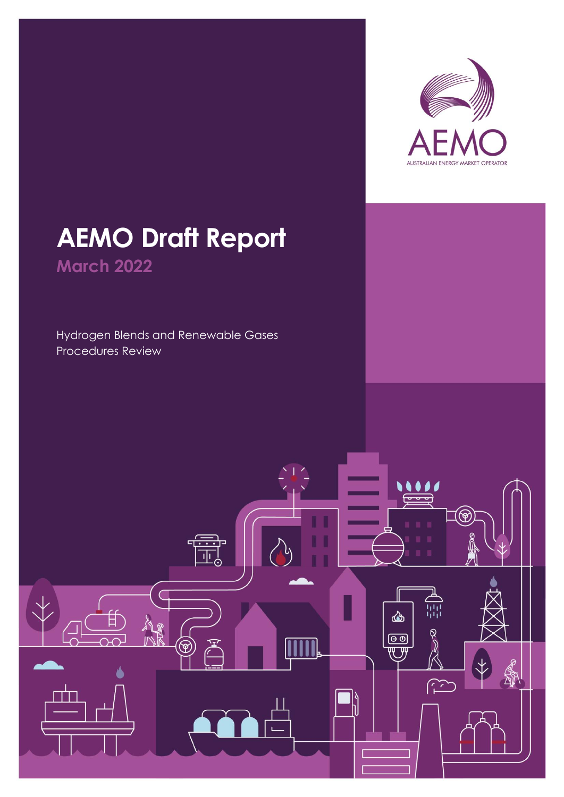

# **AEMO Draft Report March 2022**

Hydrogen Blends and Renewable Gases Procedures Review

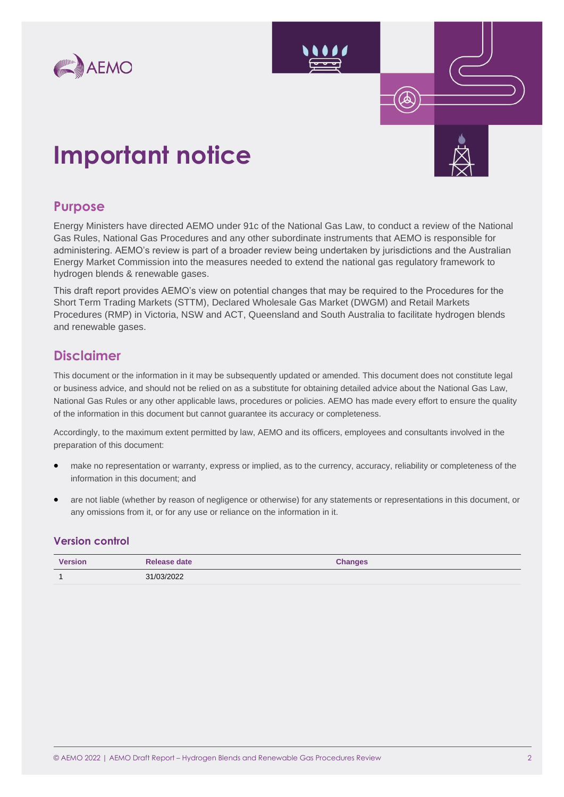

# **Important notice**

#### **Purpose**

Energy Ministers have directed AEMO under 91c of the National Gas Law, to conduct a review of the National Gas Rules, National Gas Procedures and any other subordinate instruments that AEMO is responsible for administering. AEMO's review is part of a broader review being undertaken by jurisdictions and the Australian Energy Market Commission into the measures needed to extend the national gas regulatory framework to hydrogen blends & renewable gases.

This draft report provides AEMO's view on potential changes that may be required to the Procedures for the Short Term Trading Markets (STTM), Declared Wholesale Gas Market (DWGM) and Retail Markets Procedures (RMP) in Victoria, NSW and ACT, Queensland and South Australia to facilitate hydrogen blends and renewable gases.

### **Disclaimer**

This document or the information in it may be subsequently updated or amended. This document does not constitute legal or business advice, and should not be relied on as a substitute for obtaining detailed advice about the National Gas Law, National Gas Rules or any other applicable laws, procedures or policies. AEMO has made every effort to ensure the quality of the information in this document but cannot guarantee its accuracy or completeness.

Accordingly, to the maximum extent permitted by law, AEMO and its officers, employees and consultants involved in the preparation of this document:

- make no representation or warranty, express or implied, as to the currency, accuracy, reliability or completeness of the information in this document; and
- are not liable (whether by reason of negligence or otherwise) for any statements or representations in this document, or any omissions from it, or for any use or reliance on the information in it.

#### **Version control**

| <b>Version</b> | Release date | <b>Changes</b> |
|----------------|--------------|----------------|
|                | 31/03/2022   |                |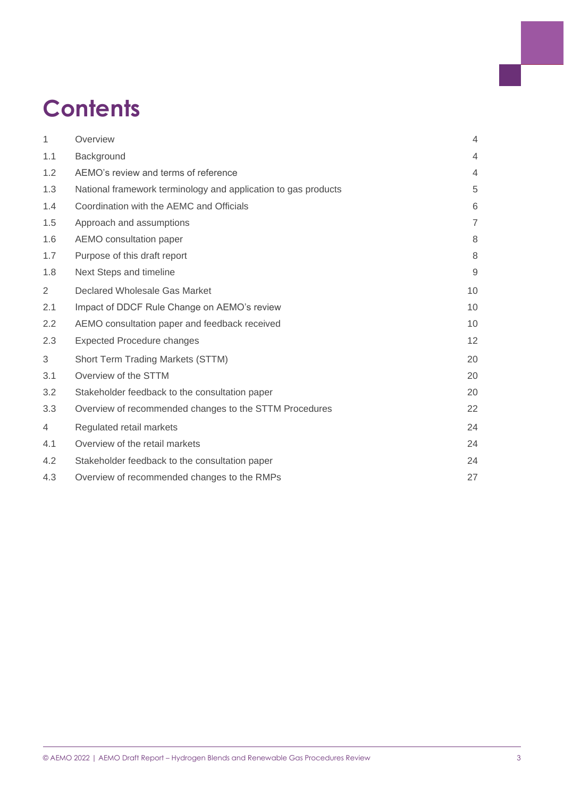# **Contents**

| $\mathbf{1}$   | Overview                                                       | $\overline{4}$ |
|----------------|----------------------------------------------------------------|----------------|
| 1.1            | Background                                                     | 4              |
| 1.2            | AEMO's review and terms of reference                           | $\overline{4}$ |
| 1.3            | National framework terminology and application to gas products | $\sqrt{5}$     |
| 1.4            | Coordination with the AEMC and Officials                       | 6              |
| 1.5            | Approach and assumptions                                       | $\overline{7}$ |
| 1.6            | AEMO consultation paper                                        | 8              |
| 1.7            | Purpose of this draft report                                   | 8              |
| 1.8            | Next Steps and timeline                                        | $9\,$          |
| $\overline{2}$ | Declared Wholesale Gas Market                                  | 10             |
| 2.1            | Impact of DDCF Rule Change on AEMO's review                    | 10             |
| 2.2            | AEMO consultation paper and feedback received                  | 10             |
| 2.3            | <b>Expected Procedure changes</b>                              | 12             |
| 3              | Short Term Trading Markets (STTM)                              | 20             |
| 3.1            | Overview of the STTM                                           | 20             |
| 3.2            | Stakeholder feedback to the consultation paper                 | 20             |
| 3.3            | Overview of recommended changes to the STTM Procedures         | 22             |
| 4              | Regulated retail markets                                       | 24             |
| 4.1            | Overview of the retail markets                                 | 24             |
| 4.2            | Stakeholder feedback to the consultation paper                 | 24             |
| 4.3            | Overview of recommended changes to the RMPs                    | 27             |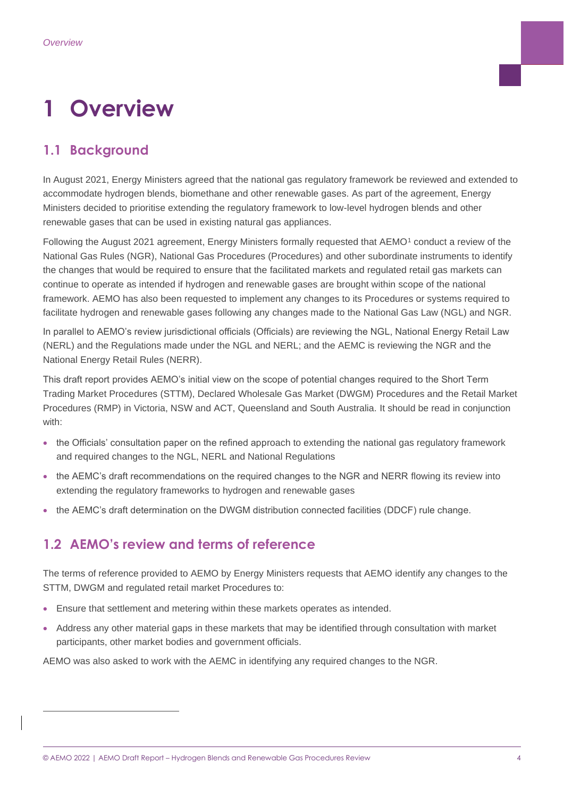# <span id="page-3-0"></span>**1 Overview**

# <span id="page-3-1"></span>**1.1 Background**

In August 2021, Energy Ministers agreed that the national gas regulatory framework be reviewed and extended to accommodate hydrogen blends, biomethane and other renewable gases. As part of the agreement, Energy Ministers decided to prioritise extending the regulatory framework to low-level hydrogen blends and other renewable gases that can be used in existing natural gas appliances.

Following the August 2021 agreement, Energy Ministers formally requested that AEMO<sup>1</sup> conduct a review of the National Gas Rules (NGR), National Gas Procedures (Procedures) and other subordinate instruments to identify the changes that would be required to ensure that the facilitated markets and regulated retail gas markets can continue to operate as intended if hydrogen and renewable gases are brought within scope of the national framework. AEMO has also been requested to implement any changes to its Procedures or systems required to facilitate hydrogen and renewable gases following any changes made to the National Gas Law (NGL) and NGR.

In parallel to AEMO's review jurisdictional officials (Officials) are reviewing the NGL, National Energy Retail Law (NERL) and the Regulations made under the NGL and NERL; and the AEMC is reviewing the NGR and the National Energy Retail Rules (NERR).

This draft report provides AEMO's initial view on the scope of potential changes required to the Short Term Trading Market Procedures (STTM), Declared Wholesale Gas Market (DWGM) Procedures and the Retail Market Procedures (RMP) in Victoria, NSW and ACT, Queensland and South Australia. It should be read in conjunction with:

- the Officials' consultation paper on the refined approach to extending the national gas regulatory framework and required changes to the NGL, NERL and National Regulations
- the AEMC's draft recommendations on the required changes to the NGR and NERR flowing its review into extending the regulatory frameworks to hydrogen and renewable gases
- the AEMC's draft determination on the DWGM distribution connected facilities (DDCF) rule change.

# <span id="page-3-2"></span>**1.2 AEMO's review and terms of reference**

The terms of reference provided to AEMO by Energy Ministers requests that AEMO identify any changes to the STTM, DWGM and regulated retail market Procedures to:

- Ensure that settlement and metering within these markets operates as intended.
- Address any other material gaps in these markets that may be identified through consultation with market participants, other market bodies and government officials.

AEMO was also asked to work with the AEMC in identifying any required changes to the NGR.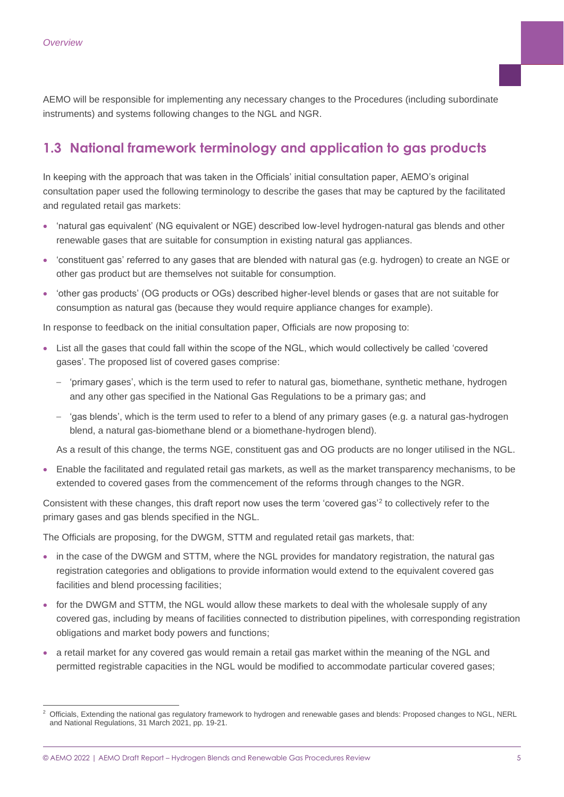AEMO will be responsible for implementing any necessary changes to the Procedures (including subordinate instruments) and systems following changes to the NGL and NGR.

# <span id="page-4-0"></span>**1.3 National framework terminology and application to gas products**

In keeping with the approach that was taken in the Officials' initial consultation paper, AEMO's original consultation paper used the following terminology to describe the gases that may be captured by the facilitated and regulated retail gas markets:

- 'natural gas equivalent' (NG equivalent or NGE) described low-level hydrogen-natural gas blends and other renewable gases that are suitable for consumption in existing natural gas appliances.
- 'constituent gas' referred to any gases that are blended with natural gas (e.g. hydrogen) to create an NGE or other gas product but are themselves not suitable for consumption.
- 'other gas products' (OG products or OGs) described higher-level blends or gases that are not suitable for consumption as natural gas (because they would require appliance changes for example).

In response to feedback on the initial consultation paper, Officials are now proposing to:

- List all the gases that could fall within the scope of the NGL, which would collectively be called 'covered gases'. The proposed list of covered gases comprise:
	- 'primary gases', which is the term used to refer to natural gas, biomethane, synthetic methane, hydrogen and any other gas specified in the National Gas Regulations to be a primary gas; and
	- 'gas blends', which is the term used to refer to a blend of any primary gases (e.g. a natural gas-hydrogen blend, a natural gas-biomethane blend or a biomethane-hydrogen blend).

As a result of this change, the terms NGE, constituent gas and OG products are no longer utilised in the NGL.

• Enable the facilitated and regulated retail gas markets, as well as the market transparency mechanisms, to be extended to covered gases from the commencement of the reforms through changes to the NGR.

Consistent with these changes, this draft report now uses the term 'covered gas'<sup>2</sup> to collectively refer to the primary gases and gas blends specified in the NGL.

The Officials are proposing, for the DWGM, STTM and regulated retail gas markets, that:

- in the case of the DWGM and STTM, where the NGL provides for mandatory registration, the natural gas registration categories and obligations to provide information would extend to the equivalent covered gas facilities and blend processing facilities;
- for the DWGM and STTM, the NGL would allow these markets to deal with the wholesale supply of any covered gas, including by means of facilities connected to distribution pipelines, with corresponding registration obligations and market body powers and functions;
- a retail market for any covered gas would remain a retail gas market within the meaning of the NGL and permitted registrable capacities in the NGL would be modified to accommodate particular covered gases;

<sup>2</sup> Officials, Extending the national gas regulatory framework to hydrogen and renewable gases and blends: Proposed changes to NGL, NERL and National Regulations, 31 March 2021, pp. 19-21.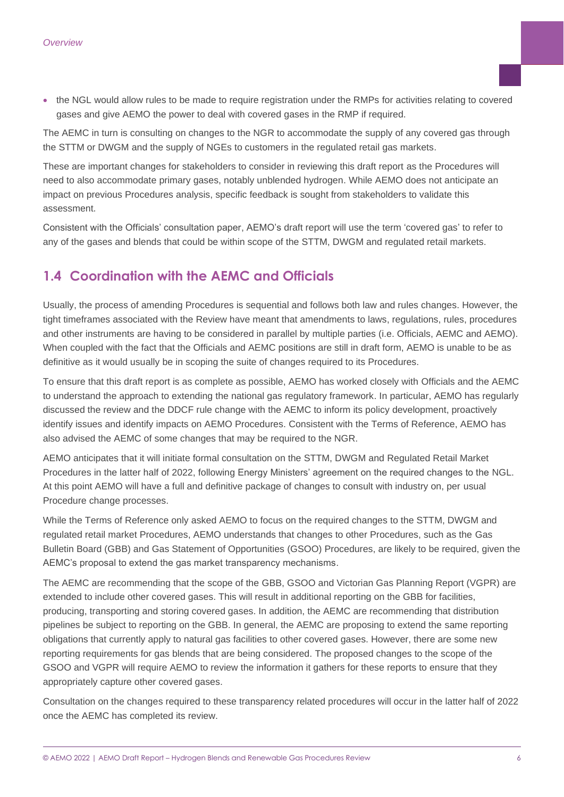• the NGL would allow rules to be made to require registration under the RMPs for activities relating to covered gases and give AEMO the power to deal with covered gases in the RMP if required.

The AEMC in turn is consulting on changes to the NGR to accommodate the supply of any covered gas through the STTM or DWGM and the supply of NGEs to customers in the regulated retail gas markets.

These are important changes for stakeholders to consider in reviewing this draft report as the Procedures will need to also accommodate primary gases, notably unblended hydrogen. While AEMO does not anticipate an impact on previous Procedures analysis, specific feedback is sought from stakeholders to validate this assessment.

Consistent with the Officials' consultation paper, AEMO's draft report will use the term 'covered gas' to refer to any of the gases and blends that could be within scope of the STTM, DWGM and regulated retail markets.

### <span id="page-5-0"></span>**1.4 Coordination with the AEMC and Officials**

Usually, the process of amending Procedures is sequential and follows both law and rules changes. However, the tight timeframes associated with the Review have meant that amendments to laws, regulations, rules, procedures and other instruments are having to be considered in parallel by multiple parties (i.e. Officials, AEMC and AEMO). When coupled with the fact that the Officials and AEMC positions are still in draft form, AEMO is unable to be as definitive as it would usually be in scoping the suite of changes required to its Procedures.

To ensure that this draft report is as complete as possible, AEMO has worked closely with Officials and the AEMC to understand the approach to extending the national gas regulatory framework. In particular, AEMO has regularly discussed the review and the DDCF rule change with the AEMC to inform its policy development, proactively identify issues and identify impacts on AEMO Procedures. Consistent with the Terms of Reference, AEMO has also advised the AEMC of some changes that may be required to the NGR.

AEMO anticipates that it will initiate formal consultation on the STTM, DWGM and Regulated Retail Market Procedures in the latter half of 2022, following Energy Ministers' agreement on the required changes to the NGL. At this point AEMO will have a full and definitive package of changes to consult with industry on, per usual Procedure change processes.

While the Terms of Reference only asked AEMO to focus on the required changes to the STTM, DWGM and regulated retail market Procedures, AEMO understands that changes to other Procedures, such as the Gas Bulletin Board (GBB) and Gas Statement of Opportunities (GSOO) Procedures, are likely to be required, given the AEMC's proposal to extend the gas market transparency mechanisms.

The AEMC are recommending that the scope of the GBB, GSOO and Victorian Gas Planning Report (VGPR) are extended to include other covered gases. This will result in additional reporting on the GBB for facilities, producing, transporting and storing covered gases. In addition, the AEMC are recommending that distribution pipelines be subject to reporting on the GBB. In general, the AEMC are proposing to extend the same reporting obligations that currently apply to natural gas facilities to other covered gases. However, there are some new reporting requirements for gas blends that are being considered. The proposed changes to the scope of the GSOO and VGPR will require AEMO to review the information it gathers for these reports to ensure that they appropriately capture other covered gases.

Consultation on the changes required to these transparency related procedures will occur in the latter half of 2022 once the AEMC has completed its review.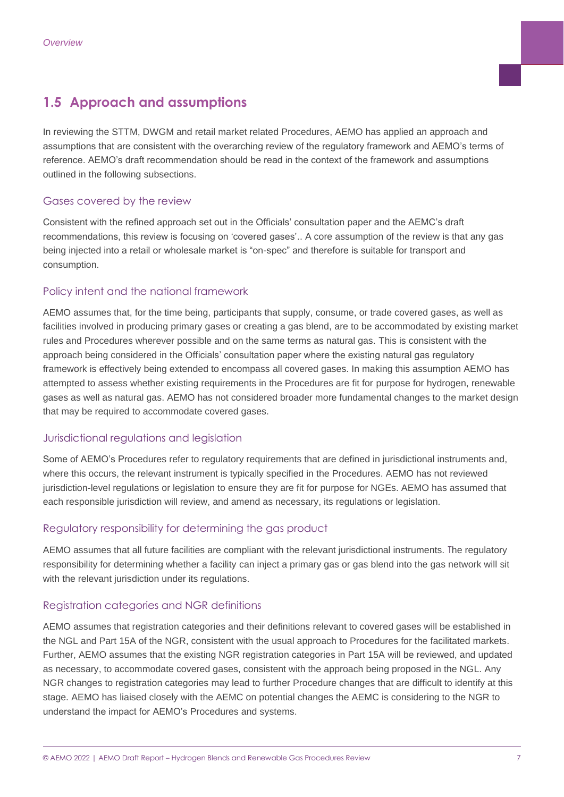# <span id="page-6-0"></span>**1.5 Approach and assumptions**

In reviewing the STTM, DWGM and retail market related Procedures, AEMO has applied an approach and assumptions that are consistent with the overarching review of the regulatory framework and AEMO's terms of reference. AEMO's draft recommendation should be read in the context of the framework and assumptions outlined in the following subsections.

#### Gases covered by the review

Consistent with the refined approach set out in the Officials' consultation paper and the AEMC's draft recommendations, this review is focusing on 'covered gases'.. A core assumption of the review is that any gas being injected into a retail or wholesale market is "on-spec" and therefore is suitable for transport and consumption.

#### Policy intent and the national framework

AEMO assumes that, for the time being, participants that supply, consume, or trade covered gases, as well as facilities involved in producing primary gases or creating a gas blend, are to be accommodated by existing market rules and Procedures wherever possible and on the same terms as natural gas. This is consistent with the approach being considered in the Officials' consultation paper where the existing natural gas regulatory framework is effectively being extended to encompass all covered gases. In making this assumption AEMO has attempted to assess whether existing requirements in the Procedures are fit for purpose for hydrogen, renewable gases as well as natural gas. AEMO has not considered broader more fundamental changes to the market design that may be required to accommodate covered gases.

#### Jurisdictional regulations and legislation

Some of AEMO's Procedures refer to regulatory requirements that are defined in jurisdictional instruments and, where this occurs, the relevant instrument is typically specified in the Procedures. AEMO has not reviewed jurisdiction-level regulations or legislation to ensure they are fit for purpose for NGEs. AEMO has assumed that each responsible jurisdiction will review, and amend as necessary, its regulations or legislation.

#### Regulatory responsibility for determining the gas product

AEMO assumes that all future facilities are compliant with the relevant jurisdictional instruments. The regulatory responsibility for determining whether a facility can inject a primary gas or gas blend into the gas network will sit with the relevant jurisdiction under its regulations.

#### Registration categories and NGR definitions

AEMO assumes that registration categories and their definitions relevant to covered gases will be established in the NGL and Part 15A of the NGR, consistent with the usual approach to Procedures for the facilitated markets. Further, AEMO assumes that the existing NGR registration categories in Part 15A will be reviewed, and updated as necessary, to accommodate covered gases, consistent with the approach being proposed in the NGL. Any NGR changes to registration categories may lead to further Procedure changes that are difficult to identify at this stage. AEMO has liaised closely with the AEMC on potential changes the AEMC is considering to the NGR to understand the impact for AEMO's Procedures and systems.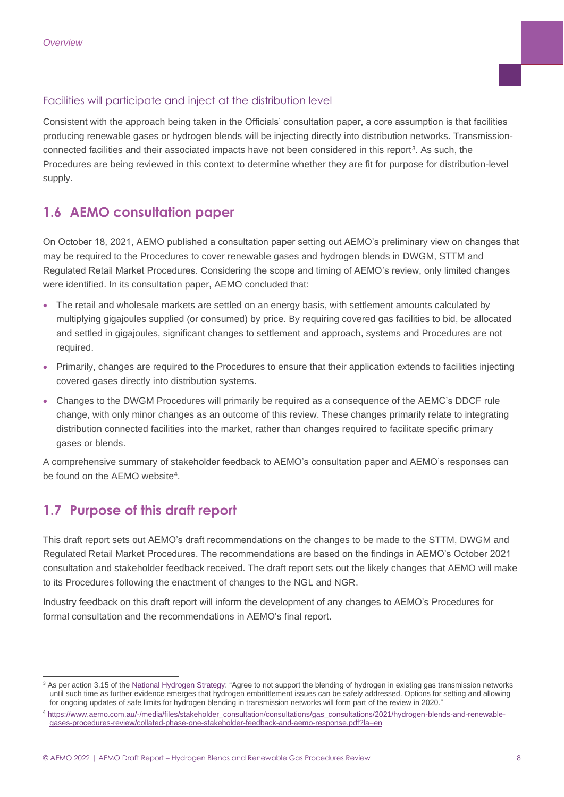#### Facilities will participate and inject at the distribution level

Consistent with the approach being taken in the Officials' consultation paper, a core assumption is that facilities producing renewable gases or hydrogen blends will be injecting directly into distribution networks. Transmissionconnected facilities and their associated impacts have not been considered in this report<sup>3</sup>. As such, the Procedures are being reviewed in this context to determine whether they are fit for purpose for distribution-level supply.

# <span id="page-7-0"></span>**1.6 AEMO consultation paper**

On October 18, 2021, AEMO published a consultation paper setting out AEMO's preliminary view on changes that may be required to the Procedures to cover renewable gases and hydrogen blends in DWGM, STTM and Regulated Retail Market Procedures. Considering the scope and timing of AEMO's review, only limited changes were identified. In its consultation paper, AEMO concluded that:

- The retail and wholesale markets are settled on an energy basis, with settlement amounts calculated by multiplying gigajoules supplied (or consumed) by price. By requiring covered gas facilities to bid, be allocated and settled in gigajoules, significant changes to settlement and approach, systems and Procedures are not required.
- Primarily, changes are required to the Procedures to ensure that their application extends to facilities injecting covered gases directly into distribution systems.
- Changes to the DWGM Procedures will primarily be required as a consequence of the AEMC's DDCF rule change, with only minor changes as an outcome of this review. These changes primarily relate to integrating distribution connected facilities into the market, rather than changes required to facilitate specific primary gases or blends.

A comprehensive summary of stakeholder feedback to AEMO's consultation paper and AEMO's responses can be found on the AEMO website<sup>4</sup>.

### <span id="page-7-1"></span>**1.7 Purpose of this draft report**

This draft report sets out AEMO's draft recommendations on the changes to be made to the STTM, DWGM and Regulated Retail Market Procedures. The recommendations are based on the findings in AEMO's October 2021 consultation and stakeholder feedback received. The draft report sets out the likely changes that AEMO will make to its Procedures following the enactment of changes to the NGL and NGR.

Industry feedback on this draft report will inform the development of any changes to AEMO's Procedures for formal consultation and the recommendations in AEMO's final report.

<sup>&</sup>lt;sup>3</sup> As per action 3.15 of th[e National Hydrogen Strategy:](https://www.industry.gov.au/sites/default/files/2019-11/australias-national-hydrogen-strategy.pdf) "Agree to not support the blending of hydrogen in existing gas transmission networks until such time as further evidence emerges that hydrogen embrittlement issues can be safely addressed. Options for setting and allowing for ongoing updates of safe limits for hydrogen blending in transmission networks will form part of the review in 2020."

[https://www.aemo.com.au/-/media/files/stakeholder\\_consultation/consultations/gas\\_consultations/2021/hydrogen-blends-and-renewable](https://www.aemo.com.au/-/media/files/stakeholder_consultation/consultations/gas_consultations/2021/hydrogen-blends-and-renewable-gases-procedures-review/collated-phase-one-stakeholder-feedback-and-aemo-response.pdf?la=en)[gases-procedures-review/collated-phase-one-stakeholder-feedback-and-aemo-response.pdf?la=en](https://www.aemo.com.au/-/media/files/stakeholder_consultation/consultations/gas_consultations/2021/hydrogen-blends-and-renewable-gases-procedures-review/collated-phase-one-stakeholder-feedback-and-aemo-response.pdf?la=en)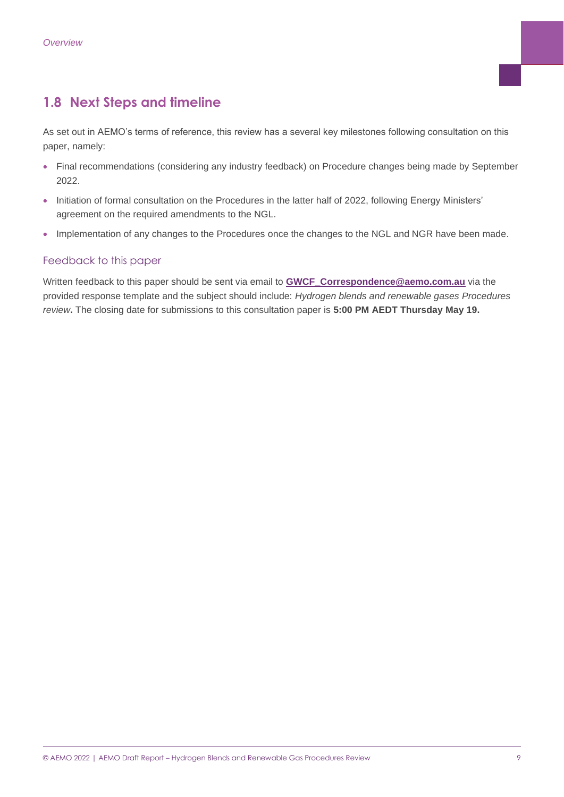### <span id="page-8-0"></span>**1.8 Next Steps and timeline**

As set out in AEMO's terms of reference, this review has a several key milestones following consultation on this paper, namely:

- Final recommendations (considering any industry feedback) on Procedure changes being made by September 2022.
- Initiation of formal consultation on the Procedures in the latter half of 2022, following Energy Ministers' agreement on the required amendments to the NGL.
- Implementation of any changes to the Procedures once the changes to the NGL and NGR have been made.

#### Feedback to this paper

<span id="page-8-1"></span>Written feedback to this paper should be sent via email to **[GWCF\\_Correspondence@aemo.com.au](mailto:GWCF_Correspondence@aemo.com.au)** via the provided response template and the subject should include: *Hydrogen blends and renewable gases Procedures review***.** The closing date for submissions to this consultation paper is **5:00 PM AEDT Thursday May 19.**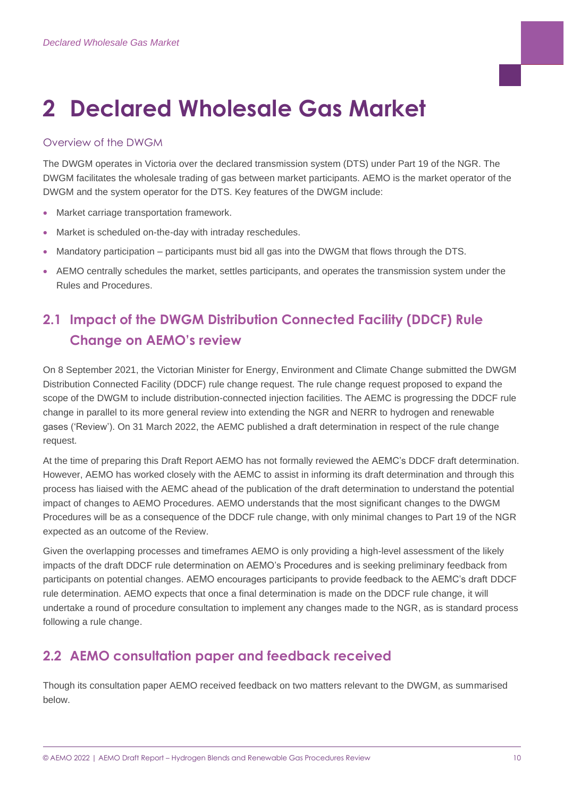# **2 Declared Wholesale Gas Market**

#### Overview of the DWGM

The DWGM operates in Victoria over the declared transmission system (DTS) under Part 19 of the NGR. The DWGM facilitates the wholesale trading of gas between market participants. AEMO is the market operator of the DWGM and the system operator for the DTS. Key features of the DWGM include:

- Market carriage transportation framework.
- Market is scheduled on-the-day with intraday reschedules.
- Mandatory participation participants must bid all gas into the DWGM that flows through the DTS.
- AEMO centrally schedules the market, settles participants, and operates the transmission system under the Rules and Procedures.

# <span id="page-9-0"></span>**2.1 Impact of the DWGM Distribution Connected Facility (DDCF) Rule Change on AEMO's review**

On 8 September 2021, the Victorian Minister for Energy, Environment and Climate Change submitted the DWGM Distribution Connected Facility (DDCF) rule change request. The rule change request proposed to expand the scope of the DWGM to include distribution-connected injection facilities. The AEMC is progressing the DDCF rule change in parallel to its more general review into extending the NGR and NERR to hydrogen and renewable gases ('Review'). On 31 March 2022, the AEMC published a draft determination in respect of the rule change request.

At the time of preparing this Draft Report AEMO has not formally reviewed the AEMC's DDCF draft determination. However, AEMO has worked closely with the AEMC to assist in informing its draft determination and through this process has liaised with the AEMC ahead of the publication of the draft determination to understand the potential impact of changes to AEMO Procedures. AEMO understands that the most significant changes to the DWGM Procedures will be as a consequence of the DDCF rule change, with only minimal changes to Part 19 of the NGR expected as an outcome of the Review.

Given the overlapping processes and timeframes AEMO is only providing a high-level assessment of the likely impacts of the draft DDCF rule determination on AEMO's Procedures and is seeking preliminary feedback from participants on potential changes. AEMO encourages participants to provide feedback to the AEMC's draft DDCF rule determination. AEMO expects that once a final determination is made on the DDCF rule change, it will undertake a round of procedure consultation to implement any changes made to the NGR, as is standard process following a rule change.

# <span id="page-9-1"></span>**2.2 AEMO consultation paper and feedback received**

Though its consultation paper AEMO received feedback on two matters relevant to the DWGM, as summarised below.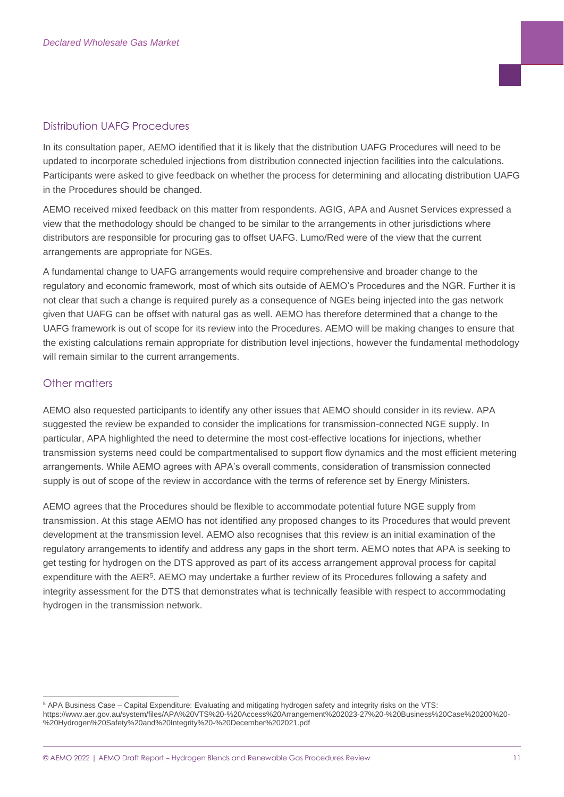#### Distribution UAFG Procedures

In its consultation paper, AEMO identified that it is likely that the distribution UAFG Procedures will need to be updated to incorporate scheduled injections from distribution connected injection facilities into the calculations. Participants were asked to give feedback on whether the process for determining and allocating distribution UAFG in the Procedures should be changed.

AEMO received mixed feedback on this matter from respondents. AGIG, APA and Ausnet Services expressed a view that the methodology should be changed to be similar to the arrangements in other jurisdictions where distributors are responsible for procuring gas to offset UAFG. Lumo/Red were of the view that the current arrangements are appropriate for NGEs.

A fundamental change to UAFG arrangements would require comprehensive and broader change to the regulatory and economic framework, most of which sits outside of AEMO's Procedures and the NGR. Further it is not clear that such a change is required purely as a consequence of NGEs being injected into the gas network given that UAFG can be offset with natural gas as well. AEMO has therefore determined that a change to the UAFG framework is out of scope for its review into the Procedures. AEMO will be making changes to ensure that the existing calculations remain appropriate for distribution level injections, however the fundamental methodology will remain similar to the current arrangements.

#### Other matters

AEMO also requested participants to identify any other issues that AEMO should consider in its review. APA suggested the review be expanded to consider the implications for transmission-connected NGE supply. In particular, APA highlighted the need to determine the most cost-effective locations for injections, whether transmission systems need could be compartmentalised to support flow dynamics and the most efficient metering arrangements. While AEMO agrees with APA's overall comments, consideration of transmission connected supply is out of scope of the review in accordance with the terms of reference set by Energy Ministers.

AEMO agrees that the Procedures should be flexible to accommodate potential future NGE supply from transmission. At this stage AEMO has not identified any proposed changes to its Procedures that would prevent development at the transmission level. AEMO also recognises that this review is an initial examination of the regulatory arrangements to identify and address any gaps in the short term. AEMO notes that APA is seeking to get testing for hydrogen on the DTS approved as part of its access arrangement approval process for capital expenditure with the AER<sup>5</sup>. AEMO may undertake a further review of its Procedures following a safety and integrity assessment for the DTS that demonstrates what is technically feasible with respect to accommodating hydrogen in the transmission network.

<sup>5</sup> APA Business Case – Capital Expenditure: Evaluating and mitigating hydrogen safety and integrity risks on the VTS: https://www.aer.gov.au/system/files/APA%20VTS%20-%20Access%20Arrangement%202023-27%20-%20Business%20Case%20200%20- %20Hydrogen%20Safety%20and%20Integrity%20-%20December%202021.pdf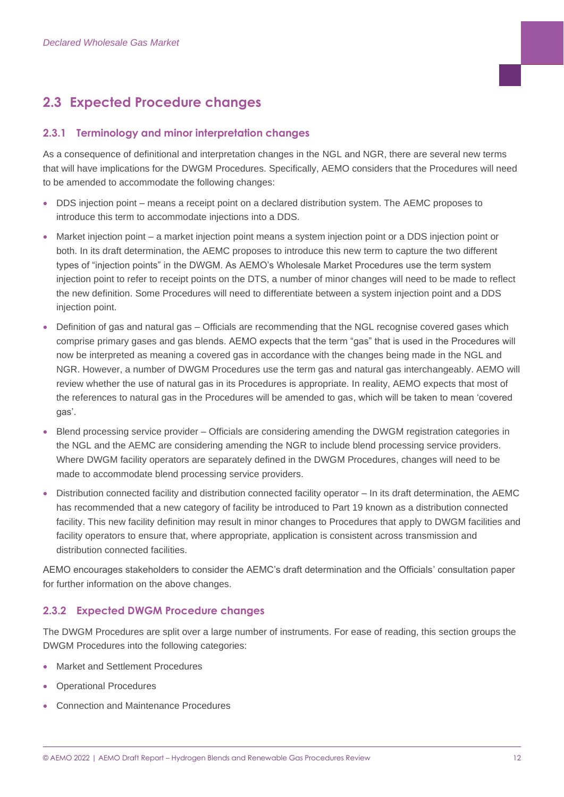# <span id="page-11-0"></span>**2.3 Expected Procedure changes**

#### **2.3.1 Terminology and minor interpretation changes**

As a consequence of definitional and interpretation changes in the NGL and NGR, there are several new terms that will have implications for the DWGM Procedures. Specifically, AEMO considers that the Procedures will need to be amended to accommodate the following changes:

- DDS injection point means a receipt point on a declared distribution system. The AEMC proposes to introduce this term to accommodate injections into a DDS.
- Market injection point a market injection point means a system injection point or a DDS injection point or both. In its draft determination, the AEMC proposes to introduce this new term to capture the two different types of "injection points" in the DWGM. As AEMO's Wholesale Market Procedures use the term system injection point to refer to receipt points on the DTS, a number of minor changes will need to be made to reflect the new definition. Some Procedures will need to differentiate between a system injection point and a DDS injection point.
- Definition of gas and natural gas Officials are recommending that the NGL recognise covered gases which comprise primary gases and gas blends. AEMO expects that the term "gas" that is used in the Procedures will now be interpreted as meaning a covered gas in accordance with the changes being made in the NGL and NGR. However, a number of DWGM Procedures use the term gas and natural gas interchangeably. AEMO will review whether the use of natural gas in its Procedures is appropriate. In reality, AEMO expects that most of the references to natural gas in the Procedures will be amended to gas, which will be taken to mean 'covered gas'.
- Blend processing service provider Officials are considering amending the DWGM registration categories in the NGL and the AEMC are considering amending the NGR to include blend processing service providers. Where DWGM facility operators are separately defined in the DWGM Procedures, changes will need to be made to accommodate blend processing service providers.
- Distribution connected facility and distribution connected facility operator In its draft determination, the AEMC has recommended that a new category of facility be introduced to Part 19 known as a distribution connected facility. This new facility definition may result in minor changes to Procedures that apply to DWGM facilities and facility operators to ensure that, where appropriate, application is consistent across transmission and distribution connected facilities.

AEMO encourages stakeholders to consider the AEMC's draft determination and the Officials' consultation paper for further information on the above changes.

#### **2.3.2 Expected DWGM Procedure changes**

The DWGM Procedures are split over a large number of instruments. For ease of reading, this section groups the DWGM Procedures into the following categories:

- Market and Settlement Procedures
- Operational Procedures
- Connection and Maintenance Procedures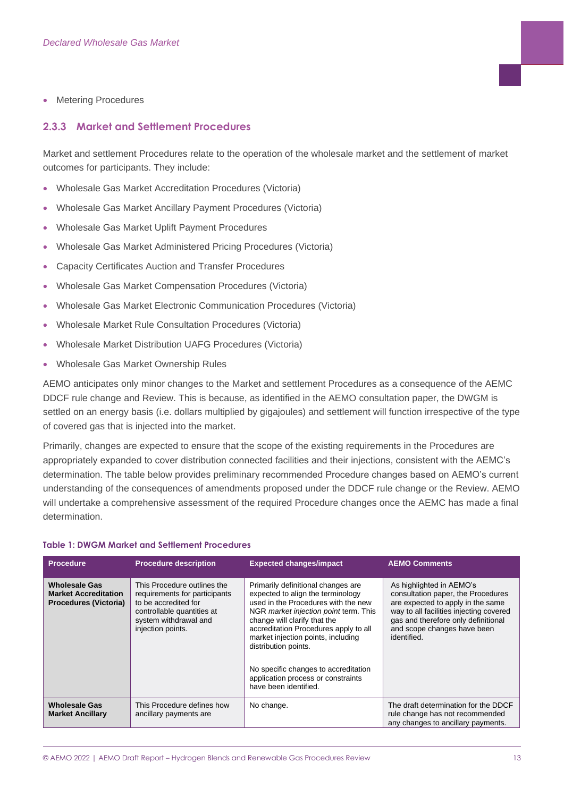• Metering Procedures

#### **2.3.3 Market and Settlement Procedures**

Market and settlement Procedures relate to the operation of the wholesale market and the settlement of market outcomes for participants. They include:

- Wholesale Gas Market Accreditation Procedures (Victoria)
- Wholesale Gas Market Ancillary Payment Procedures (Victoria)
- Wholesale Gas Market Uplift Payment Procedures
- Wholesale Gas Market Administered Pricing Procedures (Victoria)
- Capacity Certificates Auction and Transfer Procedures
- Wholesale Gas Market Compensation Procedures (Victoria)
- Wholesale Gas Market Electronic Communication Procedures (Victoria)
- Wholesale Market Rule Consultation Procedures (Victoria)
- Wholesale Market Distribution UAFG Procedures (Victoria)
- Wholesale Gas Market Ownership Rules

AEMO anticipates only minor changes to the Market and settlement Procedures as a consequence of the AEMC DDCF rule change and Review. This is because, as identified in the AEMO consultation paper, the DWGM is settled on an energy basis (i.e. dollars multiplied by gigajoules) and settlement will function irrespective of the type of covered gas that is injected into the market.

Primarily, changes are expected to ensure that the scope of the existing requirements in the Procedures are appropriately expanded to cover distribution connected facilities and their injections, consistent with the AEMC's determination. The table below provides preliminary recommended Procedure changes based on AEMO's current understanding of the consequences of amendments proposed under the DDCF rule change or the Review. AEMO will undertake a comprehensive assessment of the required Procedure changes once the AEMC has made a final determination.

| <b>Procedure</b>                                                                    | <b>Procedure description</b>                                                                                                                                     | <b>Expected changes/impact</b>                                                                                                                                                                                                                                                                                                                                                                        | <b>AEMO Comments</b>                                                                                                                                                                                                                |
|-------------------------------------------------------------------------------------|------------------------------------------------------------------------------------------------------------------------------------------------------------------|-------------------------------------------------------------------------------------------------------------------------------------------------------------------------------------------------------------------------------------------------------------------------------------------------------------------------------------------------------------------------------------------------------|-------------------------------------------------------------------------------------------------------------------------------------------------------------------------------------------------------------------------------------|
| <b>Wholesale Gas</b><br><b>Market Accreditation</b><br><b>Procedures (Victoria)</b> | This Procedure outlines the<br>requirements for participants<br>to be accredited for<br>controllable quantities at<br>system withdrawal and<br>injection points. | Primarily definitional changes are<br>expected to align the terminology<br>used in the Procedures with the new<br>NGR market injection point term. This<br>change will clarify that the<br>accreditation Procedures apply to all<br>market injection points, including<br>distribution points.<br>No specific changes to accreditation<br>application process or constraints<br>have been identified. | As highlighted in AEMO's<br>consultation paper, the Procedures<br>are expected to apply in the same<br>way to all facilities injecting covered<br>gas and therefore only definitional<br>and scope changes have been<br>identified. |
| <b>Wholesale Gas</b><br><b>Market Ancillary</b>                                     | This Procedure defines how<br>ancillary payments are                                                                                                             | No change.                                                                                                                                                                                                                                                                                                                                                                                            | The draft determination for the DDCF<br>rule change has not recommended<br>any changes to ancillary payments.                                                                                                                       |

#### **Table 1: DWGM Market and Settlement Procedures**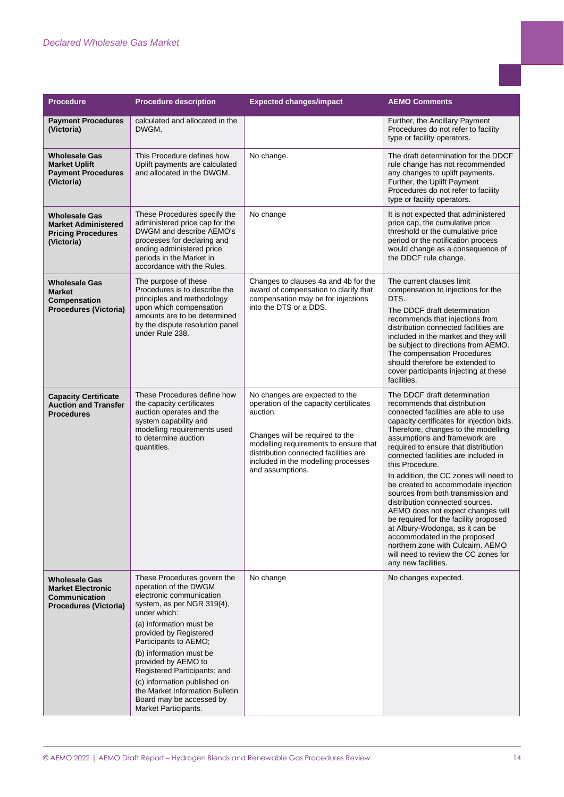| <b>Procedure</b>                                                                                  | <b>Procedure description</b>                                                                                                                                                                                                                                                                                                                                                                                          | <b>Expected changes/impact</b>                                                                                                                                                                                                                                       | <b>AEMO Comments</b>                                                                                                                                                                                                                                                                                                                                                                                                                                                                                                                                                                                                                                                                                                                        |
|---------------------------------------------------------------------------------------------------|-----------------------------------------------------------------------------------------------------------------------------------------------------------------------------------------------------------------------------------------------------------------------------------------------------------------------------------------------------------------------------------------------------------------------|----------------------------------------------------------------------------------------------------------------------------------------------------------------------------------------------------------------------------------------------------------------------|---------------------------------------------------------------------------------------------------------------------------------------------------------------------------------------------------------------------------------------------------------------------------------------------------------------------------------------------------------------------------------------------------------------------------------------------------------------------------------------------------------------------------------------------------------------------------------------------------------------------------------------------------------------------------------------------------------------------------------------------|
| <b>Payment Procedures</b><br>(Victoria)                                                           | calculated and allocated in the<br>DWGM.                                                                                                                                                                                                                                                                                                                                                                              |                                                                                                                                                                                                                                                                      | Further, the Ancillary Payment<br>Procedures do not refer to facility<br>type or facility operators.                                                                                                                                                                                                                                                                                                                                                                                                                                                                                                                                                                                                                                        |
| <b>Wholesale Gas</b><br><b>Market Uplift</b><br><b>Payment Procedures</b><br>(Victoria)           | This Procedure defines how<br>Uplift payments are calculated<br>and allocated in the DWGM.                                                                                                                                                                                                                                                                                                                            | No change.                                                                                                                                                                                                                                                           | The draft determination for the DDCF<br>rule change has not recommended<br>any changes to uplift payments.<br>Further, the Uplift Payment<br>Procedures do not refer to facility<br>type or facility operators.                                                                                                                                                                                                                                                                                                                                                                                                                                                                                                                             |
| <b>Wholesale Gas</b><br><b>Market Administered</b><br><b>Pricing Procedures</b><br>(Victoria)     | These Procedures specify the<br>administered price cap for the<br>DWGM and describe AEMO's<br>processes for declaring and<br>ending administered price<br>periods in the Market in<br>accordance with the Rules.                                                                                                                                                                                                      | No change                                                                                                                                                                                                                                                            | It is not expected that administered<br>price cap, the cumulative price<br>threshold or the cumulative price<br>period or the notification process<br>would change as a consequence of<br>the DDCF rule change.                                                                                                                                                                                                                                                                                                                                                                                                                                                                                                                             |
| <b>Wholesale Gas</b><br><b>Market</b><br><b>Compensation</b><br><b>Procedures (Victoria)</b>      | The purpose of these<br>Procedures is to describe the<br>principles and methodology<br>upon which compensation<br>amounts are to be determined<br>by the dispute resolution panel<br>under Rule 238.                                                                                                                                                                                                                  | Changes to clauses 4a and 4b for the<br>award of compensation to clarify that<br>compensation may be for injections<br>into the DTS or a DDS.                                                                                                                        | The current clauses limit<br>compensation to injections for the<br>DTS.<br>The DDCF draft determination<br>recommends that injections from<br>distribution connected facilities are<br>included in the market and they will<br>be subject to directions from AEMO.<br>The compensation Procedures<br>should therefore be extended to<br>cover participants injecting at these<br>facilities.                                                                                                                                                                                                                                                                                                                                                |
| <b>Capacity Certificate</b><br><b>Auction and Transfer</b><br><b>Procedures</b>                   | These Procedures define how<br>the capacity certificates<br>auction operates and the<br>system capability and<br>modelling requirements used<br>to determine auction<br>quantities.                                                                                                                                                                                                                                   | No changes are expected to the<br>operation of the capacity certificates<br>auction.<br>Changes will be required to the<br>modelling requirements to ensure that<br>distribution connected facilities are<br>included in the modelling processes<br>and assumptions. | The DDCF draft determination<br>recommends that distribution<br>connected facilities are able to use<br>capacity certificates for injection bids.<br>Therefore, changes to the modelling<br>assumptions and framework are<br>required to ensure that distribution<br>connected facilities are included in<br>this Procedure.<br>In addition, the CC zones will need to<br>be created to accommodate injection<br>sources from both transmission and<br>distribution connected sources.<br>AEMO does not expect changes will<br>be required for the facility proposed<br>at Albury-Wodonga, as it can be<br>accommodated in the proposed<br>northern zone with Culcairn. AEMO<br>will need to review the CC zones for<br>any new facilities. |
| <b>Wholesale Gas</b><br><b>Market Electronic</b><br>Communication<br><b>Procedures (Victoria)</b> | These Procedures govern the<br>operation of the DWGM<br>electronic communication<br>system, as per NGR 319(4),<br>under which:<br>(a) information must be<br>provided by Registered<br>Participants to AEMO;<br>(b) information must be<br>provided by AEMO to<br>Registered Participants; and<br>(c) information published on<br>the Market Information Bulletin<br>Board may be accessed by<br>Market Participants. | No change                                                                                                                                                                                                                                                            | No changes expected.                                                                                                                                                                                                                                                                                                                                                                                                                                                                                                                                                                                                                                                                                                                        |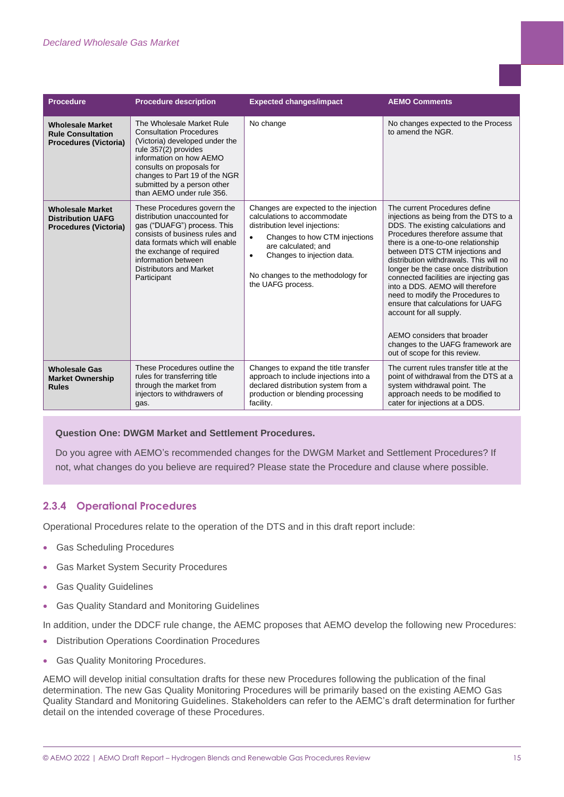| <b>Procedure</b>                                                                    | <b>Procedure description</b>                                                                                                                                                                                                                                               | <b>Expected changes/impact</b>                                                                                                                                                                                                                                      | <b>AEMO Comments</b>                                                                                                                                                                                                                                                                                                                                                                                                                                                                                                                                                                             |
|-------------------------------------------------------------------------------------|----------------------------------------------------------------------------------------------------------------------------------------------------------------------------------------------------------------------------------------------------------------------------|---------------------------------------------------------------------------------------------------------------------------------------------------------------------------------------------------------------------------------------------------------------------|--------------------------------------------------------------------------------------------------------------------------------------------------------------------------------------------------------------------------------------------------------------------------------------------------------------------------------------------------------------------------------------------------------------------------------------------------------------------------------------------------------------------------------------------------------------------------------------------------|
| <b>Wholesale Market</b><br><b>Rule Consultation</b><br><b>Procedures (Victoria)</b> | The Wholesale Market Rule<br><b>Consultation Procedures</b><br>(Victoria) developed under the<br>rule 357(2) provides<br>information on how AEMO<br>consults on proposals for<br>changes to Part 19 of the NGR<br>submitted by a person other<br>than AEMO under rule 356. | No change                                                                                                                                                                                                                                                           | No changes expected to the Process<br>to amend the NGR.                                                                                                                                                                                                                                                                                                                                                                                                                                                                                                                                          |
| <b>Wholesale Market</b><br><b>Distribution UAFG</b><br><b>Procedures (Victoria)</b> | These Procedures govern the<br>distribution unaccounted for<br>gas ("DUAFG") process. This<br>consists of business rules and<br>data formats which will enable<br>the exchange of required<br>information between<br>Distributors and Market<br>Participant                | Changes are expected to the injection<br>calculations to accommodate<br>distribution level injections:<br>Changes to how CTM injections<br>are calculated: and<br>Changes to injection data.<br>$\bullet$<br>No changes to the methodology for<br>the UAFG process. | The current Procedures define<br>injections as being from the DTS to a<br>DDS. The existing calculations and<br>Procedures therefore assume that<br>there is a one-to-one relationship<br>between DTS CTM injections and<br>distribution withdrawals. This will no<br>longer be the case once distribution<br>connected facilities are injecting gas<br>into a DDS. AEMO will therefore<br>need to modify the Procedures to<br>ensure that calculations for UAFG<br>account for all supply.<br>AEMO considers that broader<br>changes to the UAFG framework are<br>out of scope for this review. |
| <b>Wholesale Gas</b><br><b>Market Ownership</b><br><b>Rules</b>                     | These Procedures outline the<br>rules for transferring title<br>through the market from<br>injectors to withdrawers of<br>gas.                                                                                                                                             | Changes to expand the title transfer<br>approach to include injections into a<br>declared distribution system from a<br>production or blending processing<br>facility.                                                                                              | The current rules transfer title at the<br>point of withdrawal from the DTS at a<br>system withdrawal point. The<br>approach needs to be modified to<br>cater for injections at a DDS.                                                                                                                                                                                                                                                                                                                                                                                                           |

#### **Question One: DWGM Market and Settlement Procedures.**

Do you agree with AEMO's recommended changes for the DWGM Market and Settlement Procedures? If not, what changes do you believe are required? Please state the Procedure and clause where possible.

#### **2.3.4 Operational Procedures**

Operational Procedures relate to the operation of the DTS and in this draft report include:

- Gas Scheduling Procedures
- Gas Market System Security Procedures
- **Gas Quality Guidelines**
- Gas Quality Standard and Monitoring Guidelines

In addition, under the DDCF rule change, the AEMC proposes that AEMO develop the following new Procedures:

- Distribution Operations Coordination Procedures
- Gas Quality Monitoring Procedures.

AEMO will develop initial consultation drafts for these new Procedures following the publication of the final determination. The new Gas Quality Monitoring Procedures will be primarily based on the existing AEMO Gas Quality Standard and Monitoring Guidelines. Stakeholders can refer to the AEMC's draft determination for further detail on the intended coverage of these Procedures.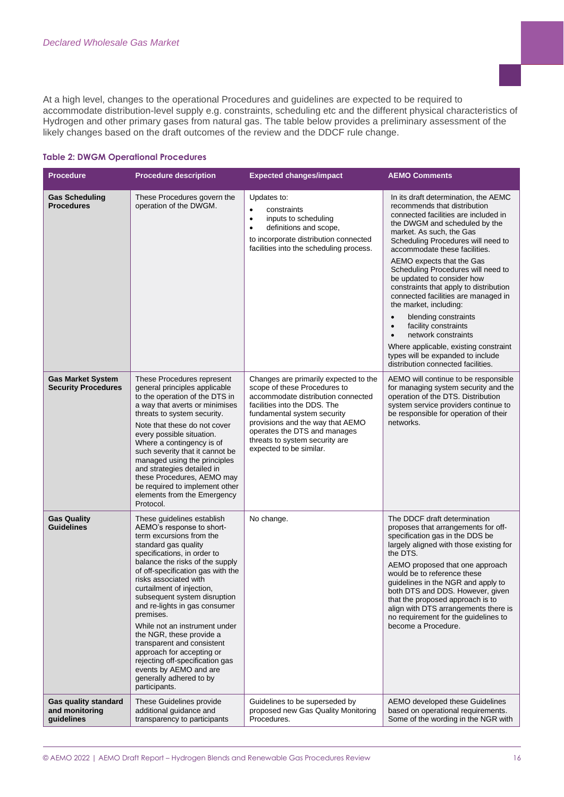At a high level, changes to the operational Procedures and guidelines are expected to be required to accommodate distribution-level supply e.g. constraints, scheduling etc and the different physical characteristics of Hydrogen and other primary gases from natural gas. The table below provides a preliminary assessment of the likely changes based on the draft outcomes of the review and the DDCF rule change.

#### **Table 2: DWGM Operational Procedures**

| <b>Procedure</b>                                            | <b>Procedure description</b>                                                                                                                                                                                                                                                                                                                                                                                                                                                                                                                                                            | <b>Expected changes/impact</b>                                                                                                                                                                                                                                                                              | <b>AEMO Comments</b>                                                                                                                                                                                                                                                                                                                                                                                                                                                                                                                                                                                                                                                                           |
|-------------------------------------------------------------|-----------------------------------------------------------------------------------------------------------------------------------------------------------------------------------------------------------------------------------------------------------------------------------------------------------------------------------------------------------------------------------------------------------------------------------------------------------------------------------------------------------------------------------------------------------------------------------------|-------------------------------------------------------------------------------------------------------------------------------------------------------------------------------------------------------------------------------------------------------------------------------------------------------------|------------------------------------------------------------------------------------------------------------------------------------------------------------------------------------------------------------------------------------------------------------------------------------------------------------------------------------------------------------------------------------------------------------------------------------------------------------------------------------------------------------------------------------------------------------------------------------------------------------------------------------------------------------------------------------------------|
| <b>Gas Scheduling</b><br><b>Procedures</b>                  | These Procedures govern the<br>operation of the DWGM.                                                                                                                                                                                                                                                                                                                                                                                                                                                                                                                                   | Updates to:<br>$\bullet$<br>constraints<br>inputs to scheduling<br>$\bullet$<br>definitions and scope,<br>to incorporate distribution connected<br>facilities into the scheduling process.                                                                                                                  | In its draft determination, the AEMC<br>recommends that distribution<br>connected facilities are included in<br>the DWGM and scheduled by the<br>market. As such, the Gas<br>Scheduling Procedures will need to<br>accommodate these facilities.<br>AEMO expects that the Gas<br>Scheduling Procedures will need to<br>be updated to consider how<br>constraints that apply to distribution<br>connected facilities are managed in<br>the market, including:<br>blending constraints<br>$\bullet$<br>facility constraints<br>$\bullet$<br>network constraints<br>$\bullet$<br>Where applicable, existing constraint<br>types will be expanded to include<br>distribution connected facilities. |
| <b>Gas Market System</b><br><b>Security Procedures</b>      | These Procedures represent<br>general principles applicable<br>to the operation of the DTS in<br>a way that averts or minimises<br>threats to system security.<br>Note that these do not cover<br>every possible situation.<br>Where a contingency is of<br>such severity that it cannot be<br>managed using the principles<br>and strategies detailed in<br>these Procedures, AEMO may<br>be required to implement other<br>elements from the Emergency<br>Protocol.                                                                                                                   | Changes are primarily expected to the<br>scope of these Procedures to<br>accommodate distribution connected<br>facilities into the DDS. The<br>fundamental system security<br>provisions and the way that AEMO<br>operates the DTS and manages<br>threats to system security are<br>expected to be similar. | AEMO will continue to be responsible<br>for managing system security and the<br>operation of the DTS. Distribution<br>system service providers continue to<br>be responsible for operation of their<br>networks.                                                                                                                                                                                                                                                                                                                                                                                                                                                                               |
| <b>Gas Quality</b><br><b>Guidelines</b>                     | These guidelines establish<br>AEMO's response to short-<br>term excursions from the<br>standard gas quality<br>specifications, in order to<br>balance the risks of the supply<br>of off-specification gas with the<br>risks associated with<br>curtailment of injection,<br>subsequent system disruption<br>and re-lights in gas consumer<br>premises.<br>While not an instrument under<br>the NGR, these provide a<br>transparent and consistent<br>approach for accepting or<br>rejecting off-specification gas<br>events by AEMO and are<br>generally adhered to by<br>participants. | No change.                                                                                                                                                                                                                                                                                                  | The DDCF draft determination<br>proposes that arrangements for off-<br>specification gas in the DDS be<br>largely aligned with those existing for<br>the DTS.<br>AEMO proposed that one approach<br>would be to reference these<br>guidelines in the NGR and apply to<br>both DTS and DDS. However, given<br>that the proposed approach is to<br>align with DTS arrangements there is<br>no requirement for the guidelines to<br>become a Procedure.                                                                                                                                                                                                                                           |
| <b>Gas quality standard</b><br>and monitoring<br>guidelines | These Guidelines provide<br>additional guidance and<br>transparency to participants                                                                                                                                                                                                                                                                                                                                                                                                                                                                                                     | Guidelines to be superseded by<br>proposed new Gas Quality Monitoring<br>Procedures.                                                                                                                                                                                                                        | AEMO developed these Guidelines<br>based on operational requirements.<br>Some of the wording in the NGR with                                                                                                                                                                                                                                                                                                                                                                                                                                                                                                                                                                                   |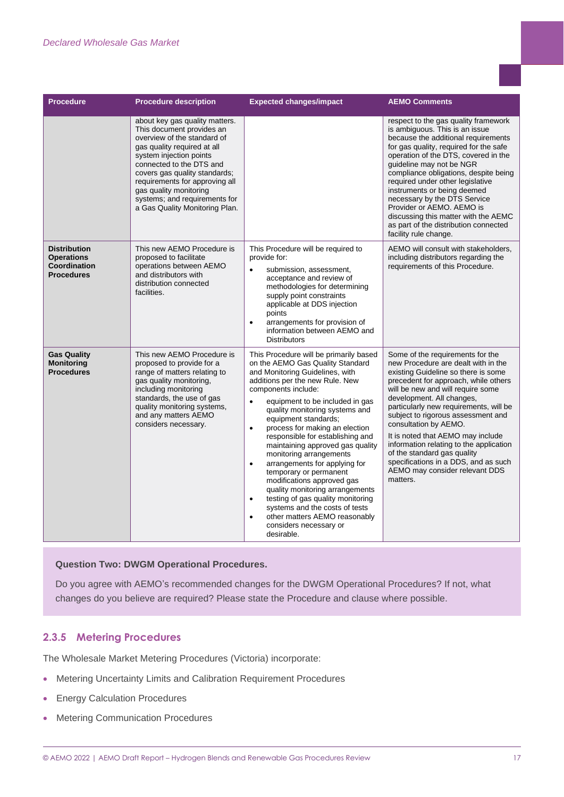#### *Declared Wholesale Gas Market*

| <b>Procedure</b>                                                              | <b>Procedure description</b>                                                                                                                                                                                                                                                                                                                     | <b>Expected changes/impact</b>                                                                                                                                                                                                                                                                                                                                                                                                                                                                                                                                                                                                                                                                                                                         | <b>AEMO Comments</b>                                                                                                                                                                                                                                                                                                                                                                                                                                                                                                                   |
|-------------------------------------------------------------------------------|--------------------------------------------------------------------------------------------------------------------------------------------------------------------------------------------------------------------------------------------------------------------------------------------------------------------------------------------------|--------------------------------------------------------------------------------------------------------------------------------------------------------------------------------------------------------------------------------------------------------------------------------------------------------------------------------------------------------------------------------------------------------------------------------------------------------------------------------------------------------------------------------------------------------------------------------------------------------------------------------------------------------------------------------------------------------------------------------------------------------|----------------------------------------------------------------------------------------------------------------------------------------------------------------------------------------------------------------------------------------------------------------------------------------------------------------------------------------------------------------------------------------------------------------------------------------------------------------------------------------------------------------------------------------|
|                                                                               | about key gas quality matters.<br>This document provides an<br>overview of the standard of<br>gas quality required at all<br>system injection points<br>connected to the DTS and<br>covers gas quality standards;<br>requirements for approving all<br>gas quality monitoring<br>systems; and requirements for<br>a Gas Quality Monitoring Plan. |                                                                                                                                                                                                                                                                                                                                                                                                                                                                                                                                                                                                                                                                                                                                                        | respect to the gas quality framework<br>is ambiguous. This is an issue<br>because the additional requirements<br>for gas quality, required for the safe<br>operation of the DTS, covered in the<br>guideline may not be NGR<br>compliance obligations, despite being<br>required under other legislative<br>instruments or being deemed<br>necessary by the DTS Service<br>Provider or AEMO. AEMO is<br>discussing this matter with the AEMC<br>as part of the distribution connected<br>facility rule change.                         |
| <b>Distribution</b><br><b>Operations</b><br>Coordination<br><b>Procedures</b> | This new AEMO Procedure is<br>proposed to facilitate<br>operations between AEMO<br>and distributors with<br>distribution connected<br>facilities.                                                                                                                                                                                                | This Procedure will be required to<br>provide for:<br>submission, assessment,<br>$\bullet$<br>acceptance and review of<br>methodologies for determining<br>supply point constraints<br>applicable at DDS injection<br>points<br>arrangements for provision of<br>$\bullet$<br>information between AEMO and<br><b>Distributors</b>                                                                                                                                                                                                                                                                                                                                                                                                                      | AEMO will consult with stakeholders,<br>including distributors regarding the<br>requirements of this Procedure.                                                                                                                                                                                                                                                                                                                                                                                                                        |
| <b>Gas Quality</b><br><b>Monitoring</b><br><b>Procedures</b>                  | This new AEMO Procedure is<br>proposed to provide for a<br>range of matters relating to<br>gas quality monitoring,<br>including monitoring<br>standards, the use of gas<br>quality monitoring systems,<br>and any matters AEMO<br>considers necessary.                                                                                           | This Procedure will be primarily based<br>on the AEMO Gas Quality Standard<br>and Monitoring Guidelines, with<br>additions per the new Rule. New<br>components include:<br>equipment to be included in gas<br>$\bullet$<br>quality monitoring systems and<br>equipment standards;<br>process for making an election<br>$\bullet$<br>responsible for establishing and<br>maintaining approved gas quality<br>monitoring arrangements<br>arrangements for applying for<br>$\bullet$<br>temporary or permanent<br>modifications approved gas<br>quality monitoring arrangements<br>testing of gas quality monitoring<br>$\bullet$<br>systems and the costs of tests<br>other matters AEMO reasonably<br>$\bullet$<br>considers necessary or<br>desirable. | Some of the requirements for the<br>new Procedure are dealt with in the<br>existing Guideline so there is some<br>precedent for approach, while others<br>will be new and will require some<br>development. All changes,<br>particularly new requirements, will be<br>subject to rigorous assessment and<br>consultation by AEMO.<br>It is noted that AEMO may include<br>information relating to the application<br>of the standard gas quality<br>specifications in a DDS, and as such<br>AEMO may consider relevant DDS<br>matters. |

#### **Question Two: DWGM Operational Procedures.**

Do you agree with AEMO's recommended changes for the DWGM Operational Procedures? If not, what changes do you believe are required? Please state the Procedure and clause where possible.

#### **2.3.5 Metering Procedures**

The Wholesale Market Metering Procedures (Victoria) incorporate:

- Metering Uncertainty Limits and Calibration Requirement Procedures
- Energy Calculation Procedures
- Metering Communication Procedures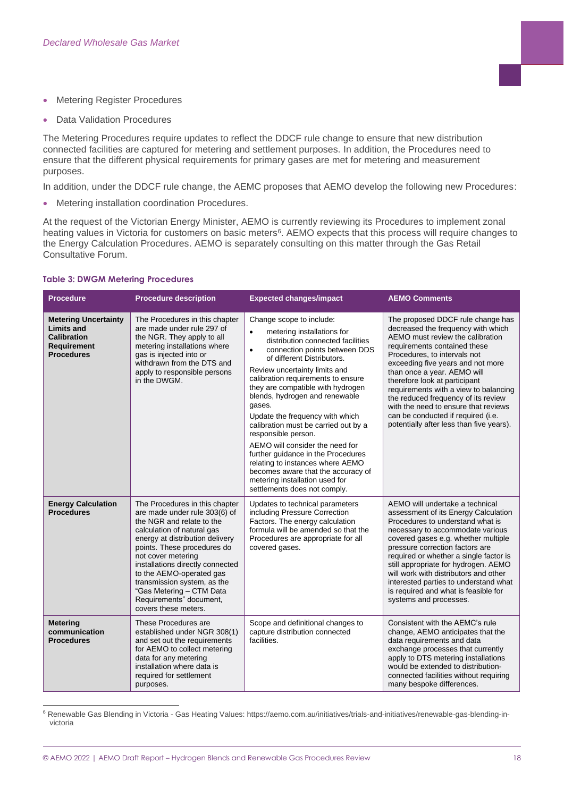- Metering Register Procedures
- Data Validation Procedures

The Metering Procedures require updates to reflect the DDCF rule change to ensure that new distribution connected facilities are captured for metering and settlement purposes. In addition, the Procedures need to ensure that the different physical requirements for primary gases are met for metering and measurement purposes.

In addition, under the DDCF rule change, the AEMC proposes that AEMO develop the following new Procedures:

• Metering installation coordination Procedures.

At the request of the Victorian Energy Minister, AEMO is currently reviewing its Procedures to implement zonal heating values in Victoria for customers on basic meters<sup>6</sup>. AEMO expects that this process will require changes to the Energy Calculation Procedures. AEMO is separately consulting on this matter through the Gas Retail Consultative Forum.

#### **Table 3: DWGM Metering Procedures**

| <b>Procedure</b>                                                                                                  | <b>Procedure description</b>                                                                                                                                                                                                                                                                                                                                                                     | <b>Expected changes/impact</b>                                                                                                                                                                                                                                                                                                                                                                                                                                                                                                                                                                                                                         | <b>AEMO Comments</b>                                                                                                                                                                                                                                                                                                                                                                                                                                                                       |
|-------------------------------------------------------------------------------------------------------------------|--------------------------------------------------------------------------------------------------------------------------------------------------------------------------------------------------------------------------------------------------------------------------------------------------------------------------------------------------------------------------------------------------|--------------------------------------------------------------------------------------------------------------------------------------------------------------------------------------------------------------------------------------------------------------------------------------------------------------------------------------------------------------------------------------------------------------------------------------------------------------------------------------------------------------------------------------------------------------------------------------------------------------------------------------------------------|--------------------------------------------------------------------------------------------------------------------------------------------------------------------------------------------------------------------------------------------------------------------------------------------------------------------------------------------------------------------------------------------------------------------------------------------------------------------------------------------|
| <b>Metering Uncertainty</b><br><b>Limits and</b><br><b>Calibration</b><br><b>Requirement</b><br><b>Procedures</b> | The Procedures in this chapter<br>are made under rule 297 of<br>the NGR. They apply to all<br>metering installations where<br>gas is injected into or<br>withdrawn from the DTS and<br>apply to responsible persons<br>in the DWGM.                                                                                                                                                              | Change scope to include:<br>metering installations for<br>distribution connected facilities<br>connection points between DDS<br>$\bullet$<br>of different Distributors.<br>Review uncertainty limits and<br>calibration requirements to ensure<br>they are compatible with hydrogen<br>blends, hydrogen and renewable<br>gases.<br>Update the frequency with which<br>calibration must be carried out by a<br>responsible person.<br>AEMO will consider the need for<br>further quidance in the Procedures<br>relating to instances where AEMO<br>becomes aware that the accuracy of<br>metering installation used for<br>settlements does not comply. | The proposed DDCF rule change has<br>decreased the frequency with which<br>AEMO must review the calibration<br>requirements contained these<br>Procedures, to intervals not<br>exceeding five years and not more<br>than once a year. AEMO will<br>therefore look at participant<br>requirements with a view to balancing<br>the reduced frequency of its review<br>with the need to ensure that reviews<br>can be conducted if required (i.e.<br>potentially after less than five years). |
| <b>Energy Calculation</b><br><b>Procedures</b>                                                                    | The Procedures in this chapter<br>are made under rule 303(6) of<br>the NGR and relate to the<br>calculation of natural gas<br>energy at distribution delivery<br>points. These procedures do<br>not cover metering<br>installations directly connected<br>to the AEMO-operated gas<br>transmission system, as the<br>"Gas Metering - CTM Data<br>Requirements" document,<br>covers these meters. | Updates to technical parameters<br>including Pressure Correction<br>Factors. The energy calculation<br>formula will be amended so that the<br>Procedures are appropriate for all<br>covered gases.                                                                                                                                                                                                                                                                                                                                                                                                                                                     | AEMO will undertake a technical<br>assessment of its Energy Calculation<br>Procedures to understand what is<br>necessary to accommodate various<br>covered gases e.g. whether multiple<br>pressure correction factors are<br>required or whether a single factor is<br>still appropriate for hydrogen. AEMO<br>will work with distributors and other<br>interested parties to understand what<br>is required and what is feasible for<br>systems and processes.                            |
| <b>Metering</b><br>communication<br><b>Procedures</b>                                                             | These Procedures are<br>established under NGR 308(1)<br>and set out the requirements<br>for AEMO to collect metering<br>data for any metering<br>installation where data is<br>required for settlement<br>purposes.                                                                                                                                                                              | Scope and definitional changes to<br>capture distribution connected<br>facilities.                                                                                                                                                                                                                                                                                                                                                                                                                                                                                                                                                                     | Consistent with the AEMC's rule<br>change, AEMO anticipates that the<br>data requirements and data<br>exchange processes that currently<br>apply to DTS metering installations<br>would be extended to distribution-<br>connected facilities without requiring<br>many bespoke differences.                                                                                                                                                                                                |

<sup>6</sup> Renewable Gas Blending in Victoria - Gas Heating Values: https://aemo.com.au/initiatives/trials-and-initiatives/renewable-gas-blending-invictoria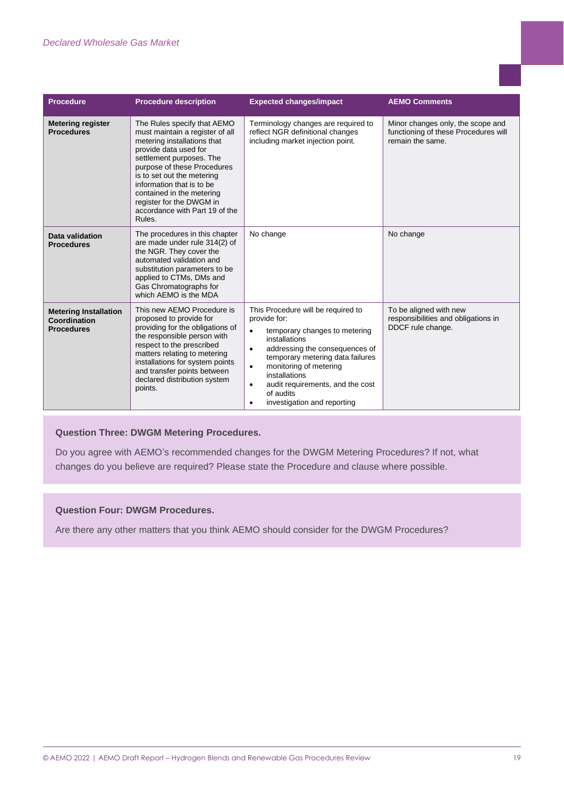| <b>Procedure</b>                                                  | <b>Procedure description</b>                                                                                                                                                                                                                                                                                                                      | <b>Expected changes/impact</b>                                                                                                                                                                                                                                                                                                                                         | <b>AEMO Comments</b>                                                                          |
|-------------------------------------------------------------------|---------------------------------------------------------------------------------------------------------------------------------------------------------------------------------------------------------------------------------------------------------------------------------------------------------------------------------------------------|------------------------------------------------------------------------------------------------------------------------------------------------------------------------------------------------------------------------------------------------------------------------------------------------------------------------------------------------------------------------|-----------------------------------------------------------------------------------------------|
| <b>Metering register</b><br><b>Procedures</b>                     | The Rules specify that AEMO<br>must maintain a register of all<br>metering installations that<br>provide data used for<br>settlement purposes. The<br>purpose of these Procedures<br>is to set out the metering<br>information that is to be<br>contained in the metering<br>register for the DWGM in<br>accordance with Part 19 of the<br>Rules. | Terminology changes are required to<br>reflect NGR definitional changes<br>including market injection point.                                                                                                                                                                                                                                                           | Minor changes only, the scope and<br>functioning of these Procedures will<br>remain the same. |
| Data validation<br><b>Procedures</b>                              | The procedures in this chapter<br>are made under rule 314(2) of<br>the NGR. They cover the<br>automated validation and<br>substitution parameters to be<br>applied to CTMs, DMs and<br>Gas Chromatographs for<br>which AEMO is the MDA                                                                                                            | No change                                                                                                                                                                                                                                                                                                                                                              | No change                                                                                     |
| <b>Metering Installation</b><br>Coordination<br><b>Procedures</b> | This new AEMO Procedure is<br>proposed to provide for<br>providing for the obligations of<br>the responsible person with<br>respect to the prescribed<br>matters relating to metering<br>installations for system points<br>and transfer points between<br>declared distribution system<br>points.                                                | This Procedure will be required to<br>provide for:<br>temporary changes to metering<br>$\bullet$<br>installations<br>addressing the consequences of<br>$\bullet$<br>temporary metering data failures<br>monitoring of metering<br>$\bullet$<br>installations<br>audit requirements, and the cost<br>$\bullet$<br>of audits<br>investigation and reporting<br>$\bullet$ | To be aligned with new<br>responsibilities and obligations in<br>DDCF rule change.            |

#### **Question Three: DWGM Metering Procedures.**

Do you agree with AEMO's recommended changes for the DWGM Metering Procedures? If not, what changes do you believe are required? Please state the Procedure and clause where possible.

#### <span id="page-18-0"></span>**Question Four: DWGM Procedures.**

Are there any other matters that you think AEMO should consider for the DWGM Procedures?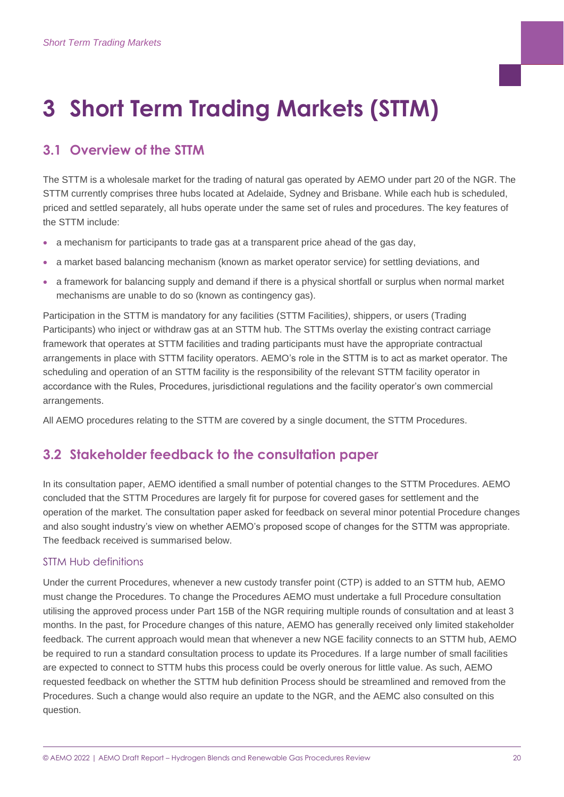# **3 Short Term Trading Markets (STTM)**

# <span id="page-19-0"></span>**3.1 Overview of the STTM**

The STTM is a wholesale market for the trading of natural gas operated by AEMO under part 20 of the NGR. The STTM currently comprises three hubs located at Adelaide, Sydney and Brisbane. While each hub is scheduled, priced and settled separately, all hubs operate under the same set of rules and procedures. The key features of the STTM include:

- a mechanism for participants to trade gas at a transparent price ahead of the gas day,
- a market based balancing mechanism (known as market operator service) for settling deviations, and
- a framework for balancing supply and demand if there is a physical shortfall or surplus when normal market mechanisms are unable to do so (known as contingency gas).

Participation in the STTM is mandatory for any facilities (STTM Facilities*)*, shippers, or users (Trading Participants) who inject or withdraw gas at an STTM hub. The STTMs overlay the existing contract carriage framework that operates at STTM facilities and trading participants must have the appropriate contractual arrangements in place with STTM facility operators. AEMO's role in the STTM is to act as market operator. The scheduling and operation of an STTM facility is the responsibility of the relevant STTM facility operator in accordance with the Rules, Procedures, jurisdictional regulations and the facility operator's own commercial arrangements.

All AEMO procedures relating to the STTM are covered by a single document, the STTM Procedures.

## <span id="page-19-1"></span>**3.2 Stakeholder feedback to the consultation paper**

In its consultation paper, AEMO identified a small number of potential changes to the STTM Procedures. AEMO concluded that the STTM Procedures are largely fit for purpose for covered gases for settlement and the operation of the market. The consultation paper asked for feedback on several minor potential Procedure changes and also sought industry's view on whether AEMO's proposed scope of changes for the STTM was appropriate. The feedback received is summarised below.

#### STTM Hub definitions

Under the current Procedures, whenever a new custody transfer point (CTP) is added to an STTM hub, AEMO must change the Procedures. To change the Procedures AEMO must undertake a full Procedure consultation utilising the approved process under Part 15B of the NGR requiring multiple rounds of consultation and at least 3 months. In the past, for Procedure changes of this nature, AEMO has generally received only limited stakeholder feedback. The current approach would mean that whenever a new NGE facility connects to an STTM hub, AEMO be required to run a standard consultation process to update its Procedures. If a large number of small facilities are expected to connect to STTM hubs this process could be overly onerous for little value. As such, AEMO requested feedback on whether the STTM hub definition Process should be streamlined and removed from the Procedures. Such a change would also require an update to the NGR, and the AEMC also consulted on this question.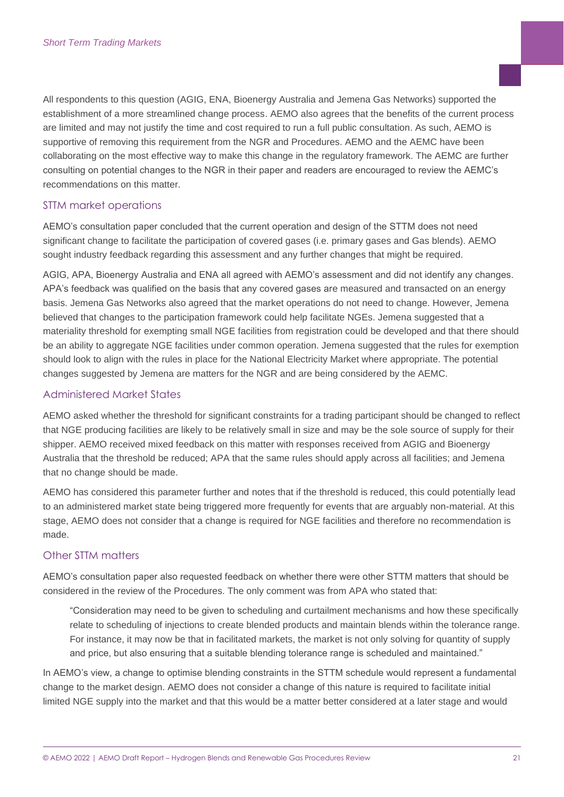All respondents to this question (AGIG, ENA, Bioenergy Australia and Jemena Gas Networks) supported the establishment of a more streamlined change process. AEMO also agrees that the benefits of the current process are limited and may not justify the time and cost required to run a full public consultation. As such, AEMO is supportive of removing this requirement from the NGR and Procedures. AEMO and the AEMC have been collaborating on the most effective way to make this change in the regulatory framework. The AEMC are further consulting on potential changes to the NGR in their paper and readers are encouraged to review the AEMC's recommendations on this matter.

#### STTM market operations

AEMO's consultation paper concluded that the current operation and design of the STTM does not need significant change to facilitate the participation of covered gases (i.e. primary gases and Gas blends). AEMO sought industry feedback regarding this assessment and any further changes that might be required.

AGIG, APA, Bioenergy Australia and ENA all agreed with AEMO's assessment and did not identify any changes. APA's feedback was qualified on the basis that any covered gases are measured and transacted on an energy basis. Jemena Gas Networks also agreed that the market operations do not need to change. However, Jemena believed that changes to the participation framework could help facilitate NGEs. Jemena suggested that a materiality threshold for exempting small NGE facilities from registration could be developed and that there should be an ability to aggregate NGE facilities under common operation. Jemena suggested that the rules for exemption should look to align with the rules in place for the National Electricity Market where appropriate. The potential changes suggested by Jemena are matters for the NGR and are being considered by the AEMC.

#### Administered Market States

AEMO asked whether the threshold for significant constraints for a trading participant should be changed to reflect that NGE producing facilities are likely to be relatively small in size and may be the sole source of supply for their shipper. AEMO received mixed feedback on this matter with responses received from AGIG and Bioenergy Australia that the threshold be reduced; APA that the same rules should apply across all facilities; and Jemena that no change should be made.

AEMO has considered this parameter further and notes that if the threshold is reduced, this could potentially lead to an administered market state being triggered more frequently for events that are arguably non-material. At this stage, AEMO does not consider that a change is required for NGE facilities and therefore no recommendation is made.

#### Other STTM matters

AEMO's consultation paper also requested feedback on whether there were other STTM matters that should be considered in the review of the Procedures. The only comment was from APA who stated that:

"Consideration may need to be given to scheduling and curtailment mechanisms and how these specifically relate to scheduling of injections to create blended products and maintain blends within the tolerance range. For instance, it may now be that in facilitated markets, the market is not only solving for quantity of supply and price, but also ensuring that a suitable blending tolerance range is scheduled and maintained."

In AEMO's view, a change to optimise blending constraints in the STTM schedule would represent a fundamental change to the market design. AEMO does not consider a change of this nature is required to facilitate initial limited NGE supply into the market and that this would be a matter better considered at a later stage and would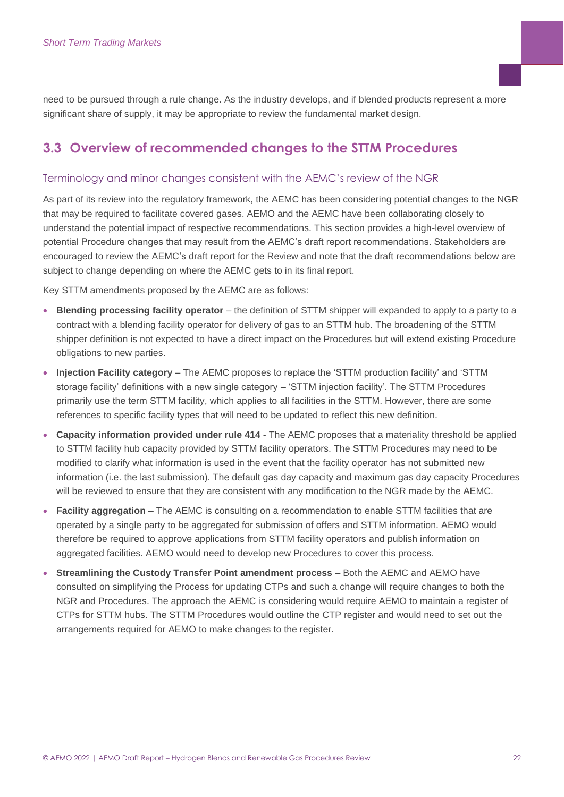need to be pursued through a rule change. As the industry develops, and if blended products represent a more significant share of supply, it may be appropriate to review the fundamental market design.

### <span id="page-21-0"></span>**3.3 Overview of recommended changes to the STTM Procedures**

#### Terminology and minor changes consistent with the AEMC's review of the NGR

As part of its review into the regulatory framework, the AEMC has been considering potential changes to the NGR that may be required to facilitate covered gases. AEMO and the AEMC have been collaborating closely to understand the potential impact of respective recommendations. This section provides a high-level overview of potential Procedure changes that may result from the AEMC's draft report recommendations. Stakeholders are encouraged to review the AEMC's draft report for the Review and note that the draft recommendations below are subject to change depending on where the AEMC gets to in its final report.

Key STTM amendments proposed by the AEMC are as follows:

- **Blending processing facility operator** the definition of STTM shipper will expanded to apply to a party to a contract with a blending facility operator for delivery of gas to an STTM hub. The broadening of the STTM shipper definition is not expected to have a direct impact on the Procedures but will extend existing Procedure obligations to new parties.
- **Injection Facility category** The AEMC proposes to replace the 'STTM production facility' and 'STTM storage facility' definitions with a new single category – 'STTM injection facility'. The STTM Procedures primarily use the term STTM facility, which applies to all facilities in the STTM. However, there are some references to specific facility types that will need to be updated to reflect this new definition.
- **Capacity information provided under rule 414** The AEMC proposes that a materiality threshold be applied to STTM facility hub capacity provided by STTM facility operators. The STTM Procedures may need to be modified to clarify what information is used in the event that the facility operator has not submitted new information (i.e. the last submission). The default gas day capacity and maximum gas day capacity Procedures will be reviewed to ensure that they are consistent with any modification to the NGR made by the AEMC.
- **Facility aggregation** The AEMC is consulting on a recommendation to enable STTM facilities that are operated by a single party to be aggregated for submission of offers and STTM information. AEMO would therefore be required to approve applications from STTM facility operators and publish information on aggregated facilities. AEMO would need to develop new Procedures to cover this process.
- **Streamlining the Custody Transfer Point amendment process**  Both the AEMC and AEMO have consulted on simplifying the Process for updating CTPs and such a change will require changes to both the NGR and Procedures. The approach the AEMC is considering would require AEMO to maintain a register of CTPs for STTM hubs. The STTM Procedures would outline the CTP register and would need to set out the arrangements required for AEMO to make changes to the register.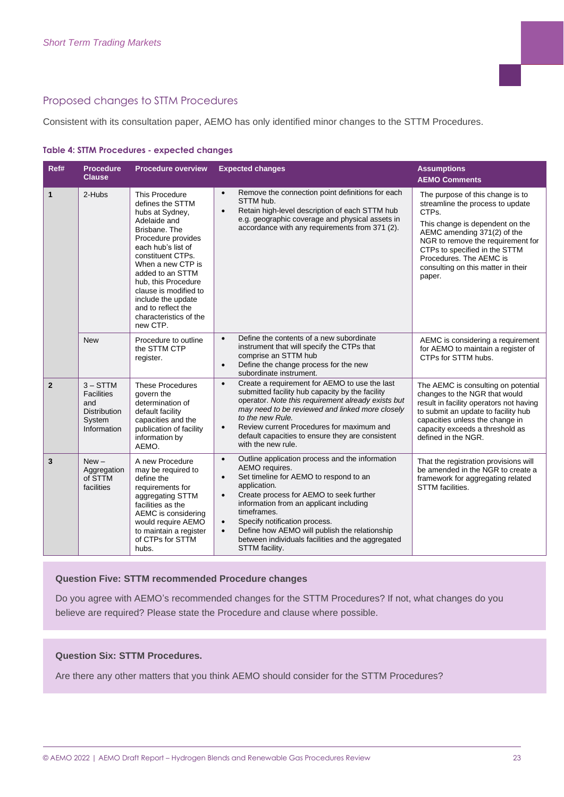#### Proposed changes to STTM Procedures

Consistent with its consultation paper, AEMO has only identified minor changes to the STTM Procedures.

|  | <b>Table 4: STTM Procedures - expected changes</b> |  |  |  |
|--|----------------------------------------------------|--|--|--|
|--|----------------------------------------------------|--|--|--|

| Ref#           | <b>Procedure</b><br><b>Clause</b>                                                      | <b>Procedure overview</b>                                                                                                                                                                                                                                                                                                                 | <b>Expected changes</b>                                                                                                                                                                                                                                                                                                                                                                                                                                    | <b>Assumptions</b><br><b>AEMO Comments</b>                                                                                                                                                                                                                                                       |
|----------------|----------------------------------------------------------------------------------------|-------------------------------------------------------------------------------------------------------------------------------------------------------------------------------------------------------------------------------------------------------------------------------------------------------------------------------------------|------------------------------------------------------------------------------------------------------------------------------------------------------------------------------------------------------------------------------------------------------------------------------------------------------------------------------------------------------------------------------------------------------------------------------------------------------------|--------------------------------------------------------------------------------------------------------------------------------------------------------------------------------------------------------------------------------------------------------------------------------------------------|
| $\mathbf{1}$   | 2-Hubs                                                                                 | <b>This Procedure</b><br>defines the STTM<br>hubs at Sydney,<br>Adelaide and<br>Brisbane, The<br>Procedure provides<br>each hub's list of<br>constituent CTPs.<br>When a new CTP is<br>added to an STTM<br>hub, this Procedure<br>clause is modified to<br>include the update<br>and to reflect the<br>characteristics of the<br>new CTP. | Remove the connection point definitions for each<br>$\bullet$<br>STTM hub.<br>Retain high-level description of each STTM hub<br>$\bullet$<br>e.g. geographic coverage and physical assets in<br>accordance with any requirements from 371 (2).                                                                                                                                                                                                             | The purpose of this change is to<br>streamline the process to update<br>CTPs.<br>This change is dependent on the<br>AEMC amending 371(2) of the<br>NGR to remove the requirement for<br>CTPs to specified in the STTM<br>Procedures. The AEMC is<br>consulting on this matter in their<br>paper. |
|                | <b>New</b>                                                                             | Procedure to outline<br>the STTM CTP<br>register.                                                                                                                                                                                                                                                                                         | Define the contents of a new subordinate<br>$\bullet$<br>instrument that will specify the CTPs that<br>comprise an STTM hub<br>Define the change process for the new<br>$\bullet$<br>subordinate instrument.                                                                                                                                                                                                                                               | AEMC is considering a requirement<br>for AEMO to maintain a register of<br>CTPs for STTM hubs.                                                                                                                                                                                                   |
| $\overline{2}$ | $3 - STTM$<br><b>Facilities</b><br>and<br><b>Distribution</b><br>System<br>Information | <b>These Procedures</b><br>govern the<br>determination of<br>default facility<br>capacities and the<br>publication of facility<br>information by<br>AEMO.                                                                                                                                                                                 | Create a requirement for AEMO to use the last<br>$\bullet$<br>submitted facility hub capacity by the facility<br>operator. Note this requirement already exists but<br>may need to be reviewed and linked more closely<br>to the new Rule.<br>Review current Procedures for maximum and<br>$\bullet$<br>default capacities to ensure they are consistent<br>with the new rule.                                                                             | The AEMC is consulting on potential<br>changes to the NGR that would<br>result in facility operators not having<br>to submit an update to facility hub<br>capacities unless the change in<br>capacity exceeds a threshold as<br>defined in the NGR.                                              |
| 3              | $New -$<br>Aggregation<br>of STTM<br>facilities                                        | A new Procedure<br>may be required to<br>define the<br>requirements for<br>aggregating STTM<br>facilities as the<br>AEMC is considering<br>would require AEMO<br>to maintain a register<br>of CTPs for STTM<br>hubs.                                                                                                                      | Outline application process and the information<br>$\bullet$<br>AEMO requires.<br>Set timeline for AEMO to respond to an<br>$\bullet$<br>application.<br>Create process for AEMO to seek further<br>$\bullet$<br>information from an applicant including<br>timeframes.<br>Specify notification process.<br>$\bullet$<br>Define how AEMO will publish the relationship<br>$\bullet$<br>between individuals facilities and the aggregated<br>STTM facility. | That the registration provisions will<br>be amended in the NGR to create a<br>framework for aggregating related<br><b>STTM</b> facilities.                                                                                                                                                       |

#### **Question Five: STTM recommended Procedure changes**

Do you agree with AEMO's recommended changes for the STTM Procedures? If not, what changes do you believe are required? Please state the Procedure and clause where possible.

#### <span id="page-22-0"></span>**Question Six: STTM Procedures.**

Are there any other matters that you think AEMO should consider for the STTM Procedures?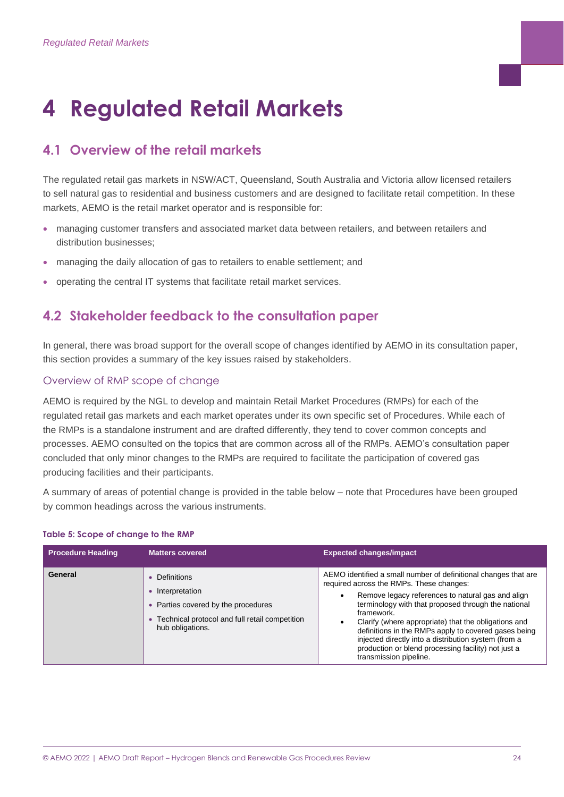# **4 Regulated Retail Markets**

# <span id="page-23-0"></span>**4.1 Overview of the retail markets**

The regulated retail gas markets in NSW/ACT, Queensland, South Australia and Victoria allow licensed retailers to sell natural gas to residential and business customers and are designed to facilitate retail competition. In these markets, AEMO is the retail market operator and is responsible for:

- managing customer transfers and associated market data between retailers, and between retailers and distribution businesses;
- managing the daily allocation of gas to retailers to enable settlement; and
- operating the central IT systems that facilitate retail market services.

### <span id="page-23-1"></span>**4.2 Stakeholder feedback to the consultation paper**

In general, there was broad support for the overall scope of changes identified by AEMO in its consultation paper, this section provides a summary of the key issues raised by stakeholders.

#### Overview of RMP scope of change

AEMO is required by the NGL to develop and maintain Retail Market Procedures (RMPs) for each of the regulated retail gas markets and each market operates under its own specific set of Procedures. While each of the RMPs is a standalone instrument and are drafted differently, they tend to cover common concepts and processes. AEMO consulted on the topics that are common across all of the RMPs. AEMO's consultation paper concluded that only minor changes to the RMPs are required to facilitate the participation of covered gas producing facilities and their participants.

A summary of areas of potential change is provided in the table below – note that Procedures have been grouped by common headings across the various instruments.

#### **Table 5: Scope of change to the RMP**

| <b>Procedure Heading</b> | <b>Matters covered</b>                                                                                                                       | <b>Expected changes/impact</b>                                                                                                                                                                                                                                                                                                                                                                                                                                                                              |
|--------------------------|----------------------------------------------------------------------------------------------------------------------------------------------|-------------------------------------------------------------------------------------------------------------------------------------------------------------------------------------------------------------------------------------------------------------------------------------------------------------------------------------------------------------------------------------------------------------------------------------------------------------------------------------------------------------|
| General                  | • Definitions<br>Interpretation<br>• Parties covered by the procedures<br>Technical protocol and full retail competition<br>hub obligations. | AEMO identified a small number of definitional changes that are<br>required across the RMPs. These changes:<br>Remove legacy references to natural gas and align<br>$\bullet$<br>terminology with that proposed through the national<br>framework.<br>Clarify (where appropriate) that the obligations and<br>definitions in the RMPs apply to covered gases being<br>injected directly into a distribution system (from a<br>production or blend processing facility) not just a<br>transmission pipeline. |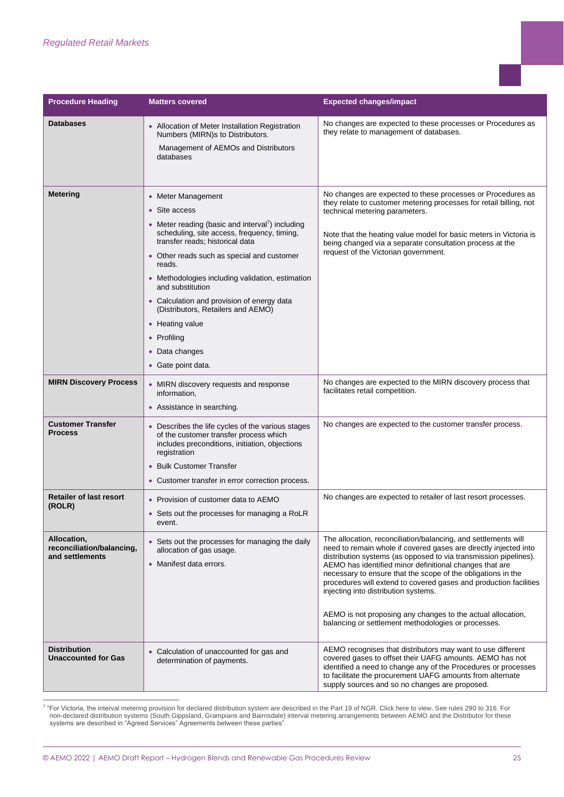| <b>Procedure Heading</b>                                    | <b>Matters covered</b>                                                                                                                                                                                                                                                                                                                                                                                                                                        | <b>Expected changes/impact</b>                                                                                                                                                                                                                                                                                                                                                                                                                                                                                                                                       |
|-------------------------------------------------------------|---------------------------------------------------------------------------------------------------------------------------------------------------------------------------------------------------------------------------------------------------------------------------------------------------------------------------------------------------------------------------------------------------------------------------------------------------------------|----------------------------------------------------------------------------------------------------------------------------------------------------------------------------------------------------------------------------------------------------------------------------------------------------------------------------------------------------------------------------------------------------------------------------------------------------------------------------------------------------------------------------------------------------------------------|
| <b>Databases</b>                                            | • Allocation of Meter Installation Registration<br>Numbers (MIRN)s to Distributors.<br>Management of AEMOs and Distributors<br>databases                                                                                                                                                                                                                                                                                                                      | No changes are expected to these processes or Procedures as<br>they relate to management of databases.                                                                                                                                                                                                                                                                                                                                                                                                                                                               |
| <b>Metering</b>                                             | • Meter Management<br>• Site access<br>• Meter reading (basic and interval <sup>7</sup> ) including<br>scheduling, site access, frequency, timing,<br>transfer reads; historical data<br>• Other reads such as special and customer<br>reads.<br>• Methodologies including validation, estimation<br>and substitution<br>• Calculation and provision of energy data<br>(Distributors, Retailers and AEMO)<br>• Heating value<br>• Profiling<br>• Data changes | No changes are expected to these processes or Procedures as<br>they relate to customer metering processes for retail billing, not<br>technical metering parameters.<br>Note that the heating value model for basic meters in Victoria is<br>being changed via a separate consultation process at the<br>request of the Victorian government.                                                                                                                                                                                                                         |
| <b>MIRN Discovery Process</b>                               | • Gate point data.<br>• MIRN discovery requests and response<br>information,<br>• Assistance in searching.                                                                                                                                                                                                                                                                                                                                                    | No changes are expected to the MIRN discovery process that<br>facilitates retail competition.                                                                                                                                                                                                                                                                                                                                                                                                                                                                        |
| <b>Customer Transfer</b><br><b>Process</b>                  | • Describes the life cycles of the various stages<br>of the customer transfer process which<br>includes preconditions, initiation, objections<br>registration<br>• Bulk Customer Transfer<br>• Customer transfer in error correction process.                                                                                                                                                                                                                 | No changes are expected to the customer transfer process.                                                                                                                                                                                                                                                                                                                                                                                                                                                                                                            |
| <b>Retailer of last resort</b><br>(ROLR)                    | • Provision of customer data to AEMO<br>• Sets out the processes for managing a RoLR<br>event.                                                                                                                                                                                                                                                                                                                                                                | No changes are expected to retailer of last resort processes.                                                                                                                                                                                                                                                                                                                                                                                                                                                                                                        |
| Allocation,<br>reconciliation/balancing,<br>and settlements | • Sets out the processes for managing the daily<br>allocation of gas usage.<br>• Manifest data errors.                                                                                                                                                                                                                                                                                                                                                        | The allocation, reconciliation/balancing, and settlements will<br>need to remain whole if covered gases are directly injected into<br>distribution systems (as opposed to via transmission pipelines).<br>AEMO has identified minor definitional changes that are<br>necessary to ensure that the scope of the obligations in the<br>procedures will extend to covered gases and production facilities<br>injecting into distribution systems.<br>AEMO is not proposing any changes to the actual allocation,<br>balancing or settlement methodologies or processes. |
| <b>Distribution</b><br><b>Unaccounted for Gas</b>           | • Calculation of unaccounted for gas and<br>determination of payments.                                                                                                                                                                                                                                                                                                                                                                                        | AEMO recognises that distributors may want to use different<br>covered gases to offset their UAFG amounts. AEMO has not<br>identified a need to change any of the Procedures or processes<br>to facilitate the procurement UAFG amounts from alternate<br>supply sources and so no changes are proposed.                                                                                                                                                                                                                                                             |

7 "For Victoria, the interval metering provision for declared distribution system are described in the Part 19 of NGR. Click here to view. See rules 290 to 316. For non-declared distribution systems (South Gippsland, Grampians and Bairnsdale) interval metering arrangements between AEMO and the Distributor for these systems are described in "Agreed Services" Agreements between these parties"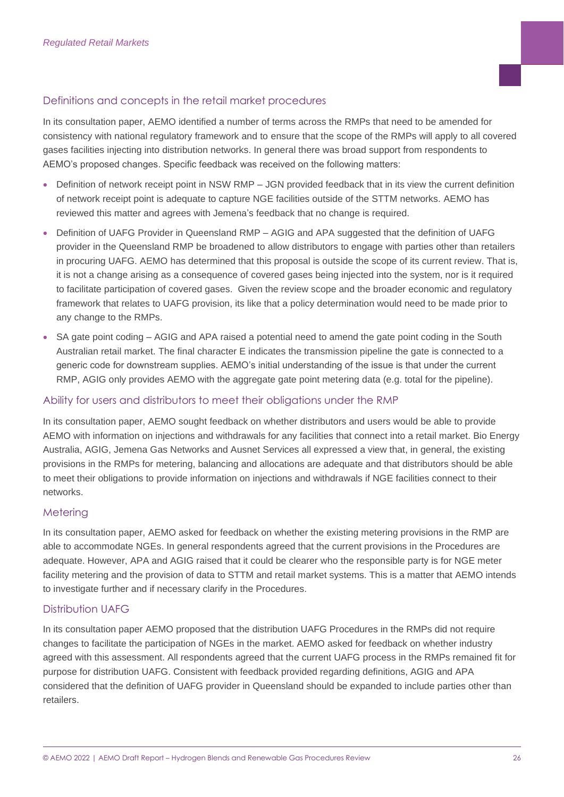#### Definitions and concepts in the retail market procedures

In its consultation paper, AEMO identified a number of terms across the RMPs that need to be amended for consistency with national regulatory framework and to ensure that the scope of the RMPs will apply to all covered gases facilities injecting into distribution networks. In general there was broad support from respondents to AEMO's proposed changes. Specific feedback was received on the following matters:

- Definition of network receipt point in NSW RMP JGN provided feedback that in its view the current definition of network receipt point is adequate to capture NGE facilities outside of the STTM networks. AEMO has reviewed this matter and agrees with Jemena's feedback that no change is required.
- Definition of UAFG Provider in Queensland RMP AGIG and APA suggested that the definition of UAFG provider in the Queensland RMP be broadened to allow distributors to engage with parties other than retailers in procuring UAFG. AEMO has determined that this proposal is outside the scope of its current review. That is, it is not a change arising as a consequence of covered gases being injected into the system, nor is it required to facilitate participation of covered gases. Given the review scope and the broader economic and regulatory framework that relates to UAFG provision, its like that a policy determination would need to be made prior to any change to the RMPs.
- SA gate point coding AGIG and APA raised a potential need to amend the gate point coding in the South Australian retail market. The final character E indicates the transmission pipeline the gate is connected to a generic code for downstream supplies. AEMO's initial understanding of the issue is that under the current RMP, AGIG only provides AEMO with the aggregate gate point metering data (e.g. total for the pipeline).

#### Ability for users and distributors to meet their obligations under the RMP

In its consultation paper, AEMO sought feedback on whether distributors and users would be able to provide AEMO with information on injections and withdrawals for any facilities that connect into a retail market. Bio Energy Australia, AGIG, Jemena Gas Networks and Ausnet Services all expressed a view that, in general, the existing provisions in the RMPs for metering, balancing and allocations are adequate and that distributors should be able to meet their obligations to provide information on injections and withdrawals if NGE facilities connect to their networks.

#### Metering

In its consultation paper, AEMO asked for feedback on whether the existing metering provisions in the RMP are able to accommodate NGEs. In general respondents agreed that the current provisions in the Procedures are adequate. However, APA and AGIG raised that it could be clearer who the responsible party is for NGE meter facility metering and the provision of data to STTM and retail market systems. This is a matter that AEMO intends to investigate further and if necessary clarify in the Procedures.

#### Distribution UAFG

In its consultation paper AEMO proposed that the distribution UAFG Procedures in the RMPs did not require changes to facilitate the participation of NGEs in the market. AEMO asked for feedback on whether industry agreed with this assessment. All respondents agreed that the current UAFG process in the RMPs remained fit for purpose for distribution UAFG. Consistent with feedback provided regarding definitions, AGIG and APA considered that the definition of UAFG provider in Queensland should be expanded to include parties other than retailers.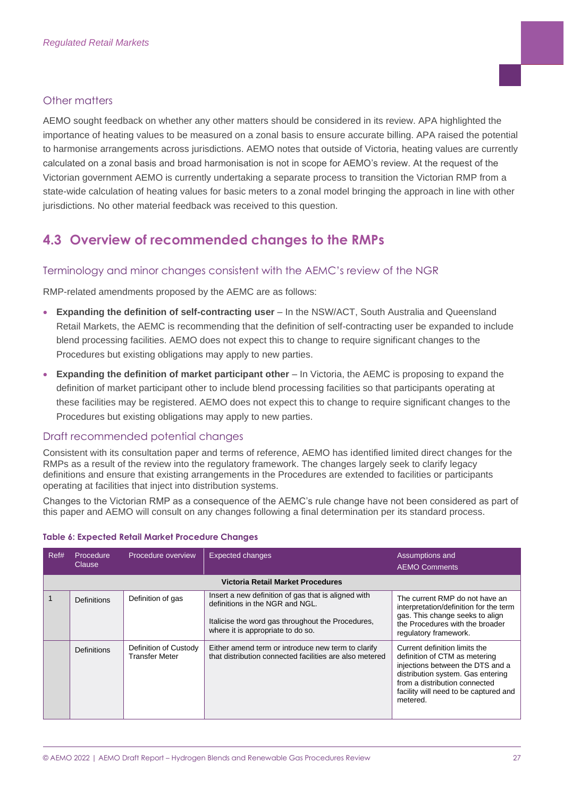#### Other matters

AEMO sought feedback on whether any other matters should be considered in its review. APA highlighted the importance of heating values to be measured on a zonal basis to ensure accurate billing. APA raised the potential to harmonise arrangements across jurisdictions. AEMO notes that outside of Victoria, heating values are currently calculated on a zonal basis and broad harmonisation is not in scope for AEMO's review. At the request of the Victorian government AEMO is currently undertaking a separate process to transition the Victorian RMP from a state-wide calculation of heating values for basic meters to a zonal model bringing the approach in line with other jurisdictions. No other material feedback was received to this question.

# <span id="page-26-0"></span>**4.3 Overview of recommended changes to the RMPs**

#### Terminology and minor changes consistent with the AEMC's review of the NGR

RMP-related amendments proposed by the AEMC are as follows:

- **Expanding the definition of self-contracting user**  In the NSW/ACT, South Australia and Queensland Retail Markets, the AEMC is recommending that the definition of self-contracting user be expanded to include blend processing facilities. AEMO does not expect this to change to require significant changes to the Procedures but existing obligations may apply to new parties.
- **Expanding the definition of market participant other** In Victoria, the AEMC is proposing to expand the definition of market participant other to include blend processing facilities so that participants operating at these facilities may be registered. AEMO does not expect this to change to require significant changes to the Procedures but existing obligations may apply to new parties.

#### Draft recommended potential changes

Consistent with its consultation paper and terms of reference, AEMO has identified limited direct changes for the RMPs as a result of the review into the regulatory framework. The changes largely seek to clarify legacy definitions and ensure that existing arrangements in the Procedures are extended to facilities or participants operating at facilities that inject into distribution systems.

Changes to the Victorian RMP as a consequence of the AEMC's rule change have not been considered as part of this paper and AEMO will consult on any changes following a final determination per its standard process.

| Ref#                              | Procedure<br>Clause | Procedure overview                      | <b>Expected changes</b>                                                                                                                                                          | Assumptions and<br><b>AEMO Comments</b>                                                                                                                                                                                       |  |  |  |
|-----------------------------------|---------------------|-----------------------------------------|----------------------------------------------------------------------------------------------------------------------------------------------------------------------------------|-------------------------------------------------------------------------------------------------------------------------------------------------------------------------------------------------------------------------------|--|--|--|
| Victoria Retail Market Procedures |                     |                                         |                                                                                                                                                                                  |                                                                                                                                                                                                                               |  |  |  |
|                                   | Definitions         | Definition of gas                       | Insert a new definition of gas that is aligned with<br>definitions in the NGR and NGL.<br>Italicise the word gas throughout the Procedures,<br>where it is appropriate to do so. | The current RMP do not have an<br>interpretation/definition for the term<br>gas. This change seeks to align<br>the Procedures with the broader<br>regulatory framework.                                                       |  |  |  |
|                                   | <b>Definitions</b>  | Definition of Custody<br>Transfer Meter | Either amend term or introduce new term to clarify<br>that distribution connected facilities are also metered                                                                    | Current definition limits the<br>definition of CTM as metering<br>injections between the DTS and a<br>distribution system. Gas entering<br>from a distribution connected<br>facility will need to be captured and<br>metered. |  |  |  |

#### **Table 6: Expected Retail Market Procedure Changes**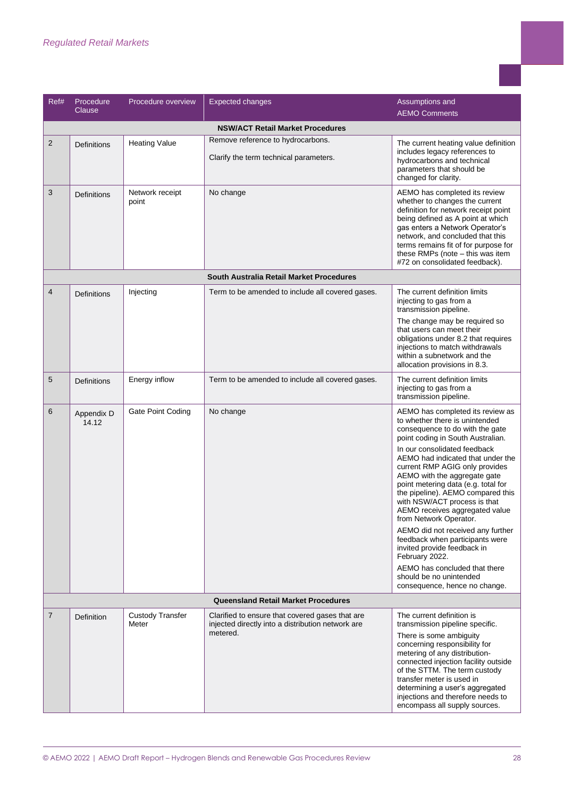| Ref#                                       | Procedure<br>Clause  | Procedure overview               | <b>Expected changes</b>                                                                              | Assumptions and                                                                                                                                                                                                                                                                                                                   |  |  |  |  |
|--------------------------------------------|----------------------|----------------------------------|------------------------------------------------------------------------------------------------------|-----------------------------------------------------------------------------------------------------------------------------------------------------------------------------------------------------------------------------------------------------------------------------------------------------------------------------------|--|--|--|--|
|                                            | <b>AEMO Comments</b> |                                  |                                                                                                      |                                                                                                                                                                                                                                                                                                                                   |  |  |  |  |
|                                            |                      |                                  | <b>NSW/ACT Retail Market Procedures</b>                                                              |                                                                                                                                                                                                                                                                                                                                   |  |  |  |  |
| $\overline{2}$                             | Definitions          | <b>Heating Value</b>             | Remove reference to hydrocarbons.<br>Clarify the term technical parameters.                          | The current heating value definition<br>includes legacy references to<br>hydrocarbons and technical<br>parameters that should be<br>changed for clarity.                                                                                                                                                                          |  |  |  |  |
| 3                                          | Definitions          | Network receipt<br>point         | No change                                                                                            | AEMO has completed its review<br>whether to changes the current<br>definition for network receipt point<br>being defined as A point at which<br>gas enters a Network Operator's<br>network, and concluded that this<br>terms remains fit of for purpose for<br>these RMPs (note - this was item<br>#72 on consolidated feedback). |  |  |  |  |
|                                            |                      |                                  | South Australia Retail Market Procedures                                                             |                                                                                                                                                                                                                                                                                                                                   |  |  |  |  |
| $\overline{4}$                             | Definitions          | Injecting                        | Term to be amended to include all covered gases.                                                     | The current definition limits<br>injecting to gas from a<br>transmission pipeline.<br>The change may be required so                                                                                                                                                                                                               |  |  |  |  |
|                                            |                      |                                  |                                                                                                      | that users can meet their<br>obligations under 8.2 that requires<br>injections to match withdrawals<br>within a subnetwork and the<br>allocation provisions in 8.3.                                                                                                                                                               |  |  |  |  |
| 5                                          | Definitions          | Energy inflow                    | Term to be amended to include all covered gases.                                                     | The current definition limits<br>injecting to gas from a<br>transmission pipeline.                                                                                                                                                                                                                                                |  |  |  |  |
| 6                                          | Appendix D<br>14.12  | Gate Point Coding                | No change                                                                                            | AEMO has completed its review as<br>to whether there is unintended<br>consequence to do with the gate<br>point coding in South Australian.                                                                                                                                                                                        |  |  |  |  |
|                                            |                      |                                  |                                                                                                      | In our consolidated feedback<br>AEMO had indicated that under the<br>current RMP AGIG only provides<br>AEMO with the aggregate gate<br>point metering data (e.g. total for<br>the pipeline). AEMO compared this<br>with NSW/ACT process is that<br>AEMO receives aggregated value<br>from Network Operator.                       |  |  |  |  |
|                                            |                      |                                  |                                                                                                      | AEMO did not received any further<br>feedback when participants were<br>invited provide feedback in<br>February 2022.                                                                                                                                                                                                             |  |  |  |  |
|                                            |                      |                                  |                                                                                                      | AEMO has concluded that there<br>should be no unintended<br>consequence, hence no change.                                                                                                                                                                                                                                         |  |  |  |  |
| <b>Queensland Retail Market Procedures</b> |                      |                                  |                                                                                                      |                                                                                                                                                                                                                                                                                                                                   |  |  |  |  |
| 7                                          | Definition           | <b>Custody Transfer</b><br>Meter | Clarified to ensure that covered gases that are<br>injected directly into a distribution network are | The current definition is<br>transmission pipeline specific.                                                                                                                                                                                                                                                                      |  |  |  |  |
|                                            |                      |                                  | metered.                                                                                             | There is some ambiguity<br>concerning responsibility for<br>metering of any distribution-<br>connected injection facility outside<br>of the STTM. The term custody<br>transfer meter is used in<br>determining a user's aggregated<br>injections and therefore needs to<br>encompass all supply sources.                          |  |  |  |  |